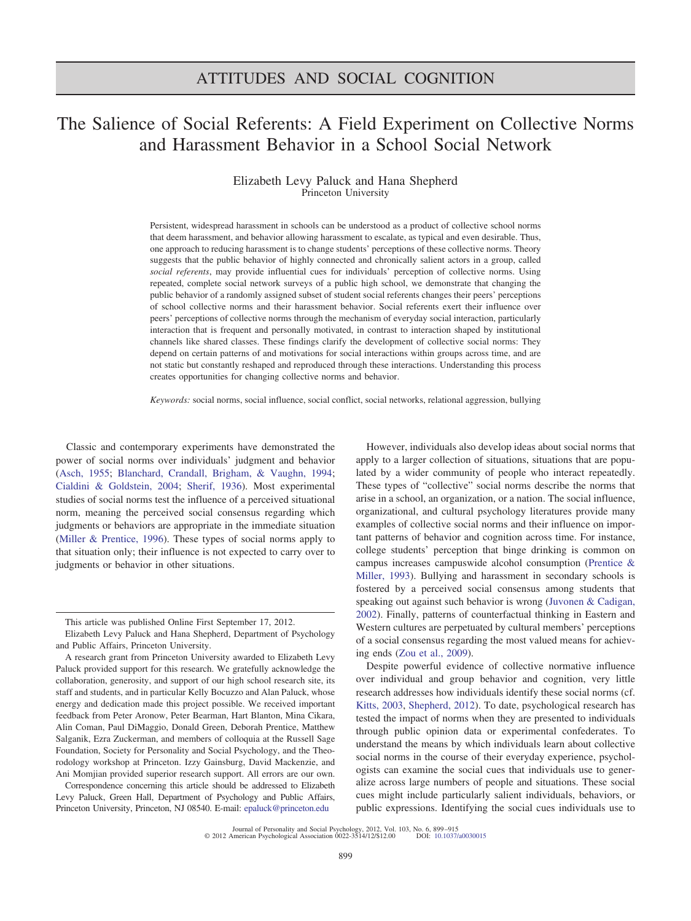# The Salience of Social Referents: A Field Experiment on Collective Norms and Harassment Behavior in a School Social Network

Elizabeth Levy Paluck and Hana Shepherd Princeton University

Persistent, widespread harassment in schools can be understood as a product of collective school norms that deem harassment, and behavior allowing harassment to escalate, as typical and even desirable. Thus, one approach to reducing harassment is to change students' perceptions of these collective norms. Theory suggests that the public behavior of highly connected and chronically salient actors in a group, called *social referents*, may provide influential cues for individuals' perception of collective norms. Using repeated, complete social network surveys of a public high school, we demonstrate that changing the public behavior of a randomly assigned subset of student social referents changes their peers' perceptions of school collective norms and their harassment behavior. Social referents exert their influence over peers' perceptions of collective norms through the mechanism of everyday social interaction, particularly interaction that is frequent and personally motivated, in contrast to interaction shaped by institutional channels like shared classes. These findings clarify the development of collective social norms: They depend on certain patterns of and motivations for social interactions within groups across time, and are not static but constantly reshaped and reproduced through these interactions. Understanding this process creates opportunities for changing collective norms and behavior.

*Keywords:* social norms, social influence, social conflict, social networks, relational aggression, bullying

Classic and contemporary experiments have demonstrated the power of social norms over individuals' judgment and behavior (Asch, 1955; Blanchard, Crandall, Brigham, & Vaughn, 1994; Cialdini & Goldstein, 2004; Sherif, 1936). Most experimental studies of social norms test the influence of a perceived situational norm, meaning the perceived social consensus regarding which judgments or behaviors are appropriate in the immediate situation (Miller & Prentice, 1996). These types of social norms apply to that situation only; their influence is not expected to carry over to judgments or behavior in other situations.

A research grant from Princeton University awarded to Elizabeth Levy Paluck provided support for this research. We gratefully acknowledge the collaboration, generosity, and support of our high school research site, its staff and students, and in particular Kelly Bocuzzo and Alan Paluck, whose energy and dedication made this project possible. We received important feedback from Peter Aronow, Peter Bearman, Hart Blanton, Mina Cikara, Alin Coman, Paul DiMaggio, Donald Green, Deborah Prentice, Matthew Salganik, Ezra Zuckerman, and members of colloquia at the Russell Sage Foundation, Society for Personality and Social Psychology, and the Theorodology workshop at Princeton. Izzy Gainsburg, David Mackenzie, and Ani Momjian provided superior research support. All errors are our own.

Correspondence concerning this article should be addressed to Elizabeth Levy Paluck, Green Hall, Department of Psychology and Public Affairs, Princeton University, Princeton, NJ 08540. E-mail: epaluck@princeton.edu

However, individuals also develop ideas about social norms that apply to a larger collection of situations, situations that are populated by a wider community of people who interact repeatedly. These types of "collective" social norms describe the norms that arise in a school, an organization, or a nation. The social influence, organizational, and cultural psychology literatures provide many examples of collective social norms and their influence on important patterns of behavior and cognition across time. For instance, college students' perception that binge drinking is common on campus increases campuswide alcohol consumption (Prentice & Miller, 1993). Bullying and harassment in secondary schools is fostered by a perceived social consensus among students that speaking out against such behavior is wrong (Juvonen & Cadigan, 2002). Finally, patterns of counterfactual thinking in Eastern and Western cultures are perpetuated by cultural members' perceptions of a social consensus regarding the most valued means for achieving ends (Zou et al., 2009).

Despite powerful evidence of collective normative influence over individual and group behavior and cognition, very little research addresses how individuals identify these social norms (cf. Kitts, 2003, Shepherd, 2012). To date, psychological research has tested the impact of norms when they are presented to individuals through public opinion data or experimental confederates. To understand the means by which individuals learn about collective social norms in the course of their everyday experience, psychologists can examine the social cues that individuals use to generalize across large numbers of people and situations. These social cues might include particularly salient individuals, behaviors, or public expressions. Identifying the social cues individuals use to

Journal of Personality and Social Psychology, 2012, Vol. 103, No. 6, 899 –915 © 2012 American Psychological Association 0022-3514/12/\$12.00 DOI: 10.1037/a0030015

This article was published Online First September 17, 2012.

Elizabeth Levy Paluck and Hana Shepherd, Department of Psychology and Public Affairs, Princeton University.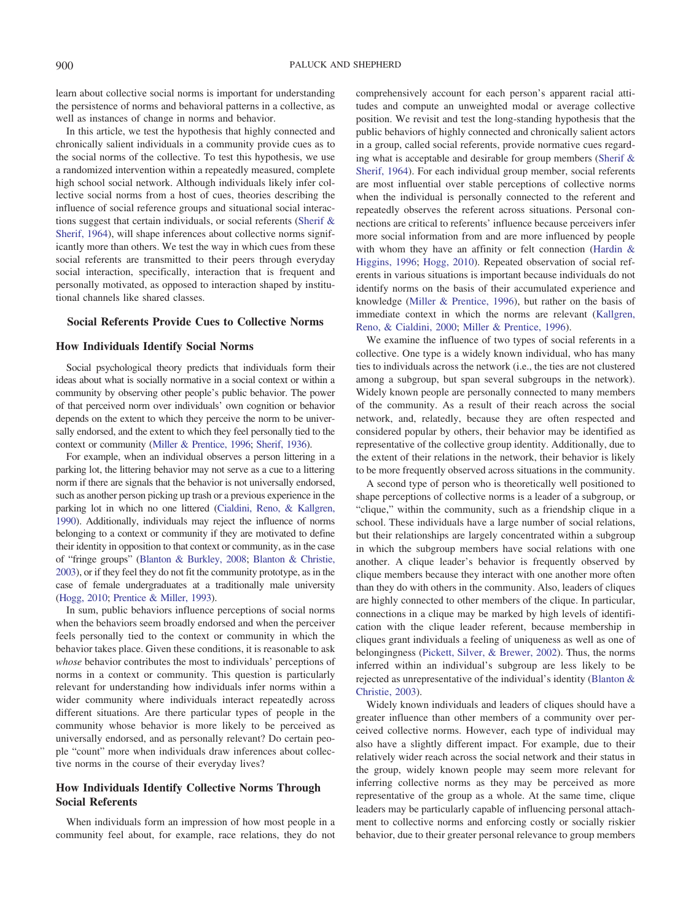learn about collective social norms is important for understanding the persistence of norms and behavioral patterns in a collective, as well as instances of change in norms and behavior.

In this article, we test the hypothesis that highly connected and chronically salient individuals in a community provide cues as to the social norms of the collective. To test this hypothesis, we use a randomized intervention within a repeatedly measured, complete high school social network. Although individuals likely infer collective social norms from a host of cues, theories describing the influence of social reference groups and situational social interactions suggest that certain individuals, or social referents (Sherif & Sherif, 1964), will shape inferences about collective norms significantly more than others. We test the way in which cues from these social referents are transmitted to their peers through everyday social interaction, specifically, interaction that is frequent and personally motivated, as opposed to interaction shaped by institutional channels like shared classes.

#### **Social Referents Provide Cues to Collective Norms**

#### **How Individuals Identify Social Norms**

Social psychological theory predicts that individuals form their ideas about what is socially normative in a social context or within a community by observing other people's public behavior. The power of that perceived norm over individuals' own cognition or behavior depends on the extent to which they perceive the norm to be universally endorsed, and the extent to which they feel personally tied to the context or community (Miller & Prentice, 1996; Sherif, 1936).

For example, when an individual observes a person littering in a parking lot, the littering behavior may not serve as a cue to a littering norm if there are signals that the behavior is not universally endorsed, such as another person picking up trash or a previous experience in the parking lot in which no one littered (Cialdini, Reno, & Kallgren, 1990). Additionally, individuals may reject the influence of norms belonging to a context or community if they are motivated to define their identity in opposition to that context or community, as in the case of "fringe groups" (Blanton & Burkley, 2008; Blanton & Christie, 2003), or if they feel they do not fit the community prototype, as in the case of female undergraduates at a traditionally male university (Hogg, 2010; Prentice & Miller, 1993).

In sum, public behaviors influence perceptions of social norms when the behaviors seem broadly endorsed and when the perceiver feels personally tied to the context or community in which the behavior takes place. Given these conditions, it is reasonable to ask *whose* behavior contributes the most to individuals' perceptions of norms in a context or community. This question is particularly relevant for understanding how individuals infer norms within a wider community where individuals interact repeatedly across different situations. Are there particular types of people in the community whose behavior is more likely to be perceived as universally endorsed, and as personally relevant? Do certain people "count" more when individuals draw inferences about collective norms in the course of their everyday lives?

# **How Individuals Identify Collective Norms Through Social Referents**

When individuals form an impression of how most people in a community feel about, for example, race relations, they do not

comprehensively account for each person's apparent racial attitudes and compute an unweighted modal or average collective position. We revisit and test the long-standing hypothesis that the public behaviors of highly connected and chronically salient actors in a group, called social referents, provide normative cues regarding what is acceptable and desirable for group members (Sherif & Sherif, 1964). For each individual group member, social referents are most influential over stable perceptions of collective norms when the individual is personally connected to the referent and repeatedly observes the referent across situations. Personal connections are critical to referents' influence because perceivers infer more social information from and are more influenced by people with whom they have an affinity or felt connection (Hardin & Higgins, 1996; Hogg, 2010). Repeated observation of social referents in various situations is important because individuals do not identify norms on the basis of their accumulated experience and knowledge (Miller & Prentice, 1996), but rather on the basis of immediate context in which the norms are relevant (Kallgren, Reno, & Cialdini, 2000; Miller & Prentice, 1996).

We examine the influence of two types of social referents in a collective. One type is a widely known individual, who has many ties to individuals across the network (i.e., the ties are not clustered among a subgroup, but span several subgroups in the network). Widely known people are personally connected to many members of the community. As a result of their reach across the social network, and, relatedly, because they are often respected and considered popular by others, their behavior may be identified as representative of the collective group identity. Additionally, due to the extent of their relations in the network, their behavior is likely to be more frequently observed across situations in the community.

A second type of person who is theoretically well positioned to shape perceptions of collective norms is a leader of a subgroup, or "clique," within the community, such as a friendship clique in a school. These individuals have a large number of social relations, but their relationships are largely concentrated within a subgroup in which the subgroup members have social relations with one another. A clique leader's behavior is frequently observed by clique members because they interact with one another more often than they do with others in the community. Also, leaders of cliques are highly connected to other members of the clique. In particular, connections in a clique may be marked by high levels of identification with the clique leader referent, because membership in cliques grant individuals a feeling of uniqueness as well as one of belongingness (Pickett, Silver, & Brewer, 2002). Thus, the norms inferred within an individual's subgroup are less likely to be rejected as unrepresentative of the individual's identity (Blanton & Christie, 2003).

Widely known individuals and leaders of cliques should have a greater influence than other members of a community over perceived collective norms. However, each type of individual may also have a slightly different impact. For example, due to their relatively wider reach across the social network and their status in the group, widely known people may seem more relevant for inferring collective norms as they may be perceived as more representative of the group as a whole. At the same time, clique leaders may be particularly capable of influencing personal attachment to collective norms and enforcing costly or socially riskier behavior, due to their greater personal relevance to group members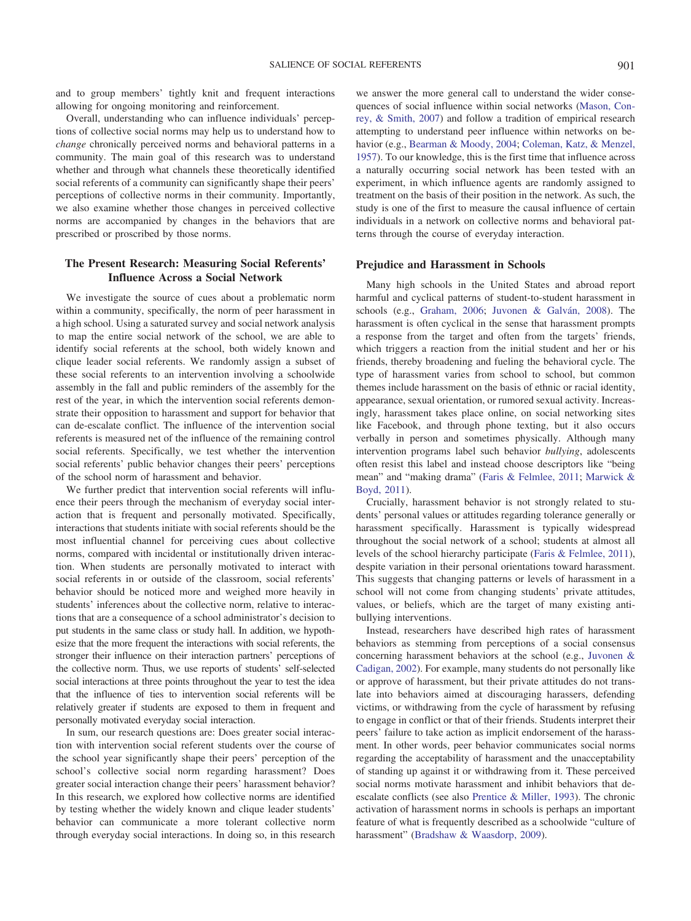and to group members' tightly knit and frequent interactions allowing for ongoing monitoring and reinforcement.

Overall, understanding who can influence individuals' perceptions of collective social norms may help us to understand how to *change* chronically perceived norms and behavioral patterns in a community. The main goal of this research was to understand whether and through what channels these theoretically identified social referents of a community can significantly shape their peers' perceptions of collective norms in their community. Importantly, we also examine whether those changes in perceived collective norms are accompanied by changes in the behaviors that are prescribed or proscribed by those norms.

# **The Present Research: Measuring Social Referents' Influence Across a Social Network**

We investigate the source of cues about a problematic norm within a community, specifically, the norm of peer harassment in a high school. Using a saturated survey and social network analysis to map the entire social network of the school, we are able to identify social referents at the school, both widely known and clique leader social referents. We randomly assign a subset of these social referents to an intervention involving a schoolwide assembly in the fall and public reminders of the assembly for the rest of the year, in which the intervention social referents demonstrate their opposition to harassment and support for behavior that can de-escalate conflict. The influence of the intervention social referents is measured net of the influence of the remaining control social referents. Specifically, we test whether the intervention social referents' public behavior changes their peers' perceptions of the school norm of harassment and behavior.

We further predict that intervention social referents will influence their peers through the mechanism of everyday social interaction that is frequent and personally motivated. Specifically, interactions that students initiate with social referents should be the most influential channel for perceiving cues about collective norms, compared with incidental or institutionally driven interaction. When students are personally motivated to interact with social referents in or outside of the classroom, social referents' behavior should be noticed more and weighed more heavily in students' inferences about the collective norm, relative to interactions that are a consequence of a school administrator's decision to put students in the same class or study hall. In addition, we hypothesize that the more frequent the interactions with social referents, the stronger their influence on their interaction partners' perceptions of the collective norm. Thus, we use reports of students' self-selected social interactions at three points throughout the year to test the idea that the influence of ties to intervention social referents will be relatively greater if students are exposed to them in frequent and personally motivated everyday social interaction.

In sum, our research questions are: Does greater social interaction with intervention social referent students over the course of the school year significantly shape their peers' perception of the school's collective social norm regarding harassment? Does greater social interaction change their peers' harassment behavior? In this research, we explored how collective norms are identified by testing whether the widely known and clique leader students' behavior can communicate a more tolerant collective norm through everyday social interactions. In doing so, in this research

we answer the more general call to understand the wider consequences of social influence within social networks (Mason, Conrey, & Smith, 2007) and follow a tradition of empirical research attempting to understand peer influence within networks on behavior (e.g., Bearman & Moody, 2004; Coleman, Katz, & Menzel, 1957). To our knowledge, this is the first time that influence across a naturally occurring social network has been tested with an experiment, in which influence agents are randomly assigned to treatment on the basis of their position in the network. As such, the study is one of the first to measure the causal influence of certain individuals in a network on collective norms and behavioral patterns through the course of everyday interaction.

#### **Prejudice and Harassment in Schools**

Many high schools in the United States and abroad report harmful and cyclical patterns of student-to-student harassment in schools (e.g., Graham, 2006; Juvonen & Galván, 2008). The harassment is often cyclical in the sense that harassment prompts a response from the target and often from the targets' friends, which triggers a reaction from the initial student and her or his friends, thereby broadening and fueling the behavioral cycle. The type of harassment varies from school to school, but common themes include harassment on the basis of ethnic or racial identity, appearance, sexual orientation, or rumored sexual activity. Increasingly, harassment takes place online, on social networking sites like Facebook, and through phone texting, but it also occurs verbally in person and sometimes physically. Although many intervention programs label such behavior *bullying*, adolescents often resist this label and instead choose descriptors like "being mean" and "making drama" (Faris & Felmlee, 2011; Marwick & Boyd, 2011).

Crucially, harassment behavior is not strongly related to students' personal values or attitudes regarding tolerance generally or harassment specifically. Harassment is typically widespread throughout the social network of a school; students at almost all levels of the school hierarchy participate (Faris & Felmlee, 2011), despite variation in their personal orientations toward harassment. This suggests that changing patterns or levels of harassment in a school will not come from changing students' private attitudes, values, or beliefs, which are the target of many existing antibullying interventions.

Instead, researchers have described high rates of harassment behaviors as stemming from perceptions of a social consensus concerning harassment behaviors at the school (e.g., Juvonen & Cadigan, 2002). For example, many students do not personally like or approve of harassment, but their private attitudes do not translate into behaviors aimed at discouraging harassers, defending victims, or withdrawing from the cycle of harassment by refusing to engage in conflict or that of their friends. Students interpret their peers' failure to take action as implicit endorsement of the harassment. In other words, peer behavior communicates social norms regarding the acceptability of harassment and the unacceptability of standing up against it or withdrawing from it. These perceived social norms motivate harassment and inhibit behaviors that deescalate conflicts (see also Prentice & Miller, 1993). The chronic activation of harassment norms in schools is perhaps an important feature of what is frequently described as a schoolwide "culture of harassment" (Bradshaw & Waasdorp, 2009).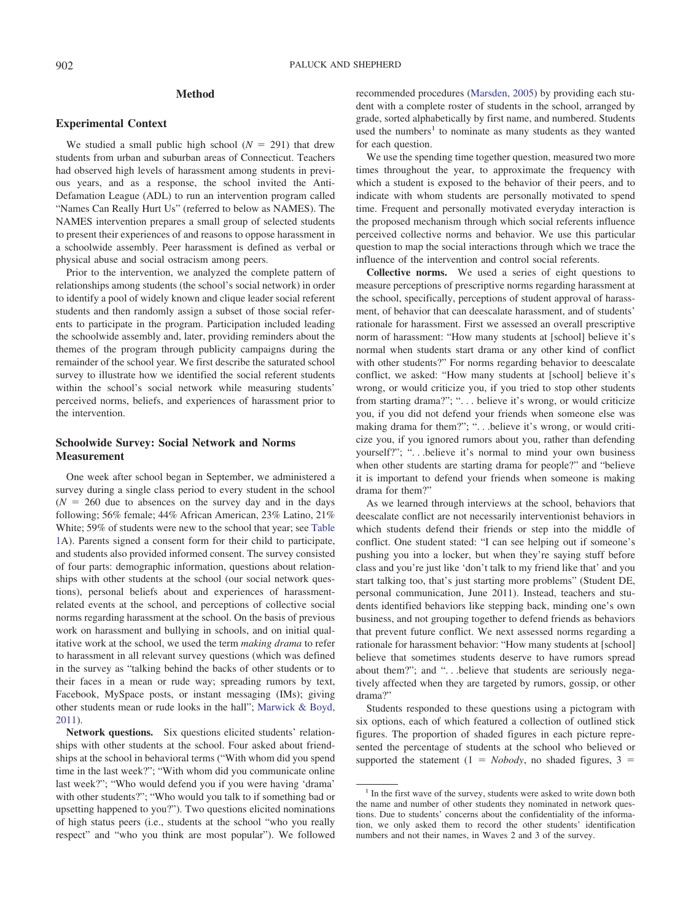# **Method**

#### **Experimental Context**

We studied a small public high school  $(N = 291)$  that drew students from urban and suburban areas of Connecticut. Teachers had observed high levels of harassment among students in previous years, and as a response, the school invited the Anti-Defamation League (ADL) to run an intervention program called "Names Can Really Hurt Us" (referred to below as NAMES). The NAMES intervention prepares a small group of selected students to present their experiences of and reasons to oppose harassment in a schoolwide assembly. Peer harassment is defined as verbal or physical abuse and social ostracism among peers.

Prior to the intervention, we analyzed the complete pattern of relationships among students (the school's social network) in order to identify a pool of widely known and clique leader social referent students and then randomly assign a subset of those social referents to participate in the program. Participation included leading the schoolwide assembly and, later, providing reminders about the themes of the program through publicity campaigns during the remainder of the school year. We first describe the saturated school survey to illustrate how we identified the social referent students within the school's social network while measuring students' perceived norms, beliefs, and experiences of harassment prior to the intervention.

# **Schoolwide Survey: Social Network and Norms Measurement**

One week after school began in September, we administered a survey during a single class period to every student in the school  $(N = 260)$  due to absences on the survey day and in the days following; 56% female; 44% African American, 23% Latino, 21% White; 59% of students were new to the school that year; see Table 1A). Parents signed a consent form for their child to participate, and students also provided informed consent. The survey consisted of four parts: demographic information, questions about relationships with other students at the school (our social network questions), personal beliefs about and experiences of harassmentrelated events at the school, and perceptions of collective social norms regarding harassment at the school. On the basis of previous work on harassment and bullying in schools, and on initial qualitative work at the school, we used the term *making drama* to refer to harassment in all relevant survey questions (which was defined in the survey as "talking behind the backs of other students or to their faces in a mean or rude way; spreading rumors by text, Facebook, MySpace posts, or instant messaging (IMs); giving other students mean or rude looks in the hall"; Marwick & Boyd, 2011).

**Network questions.** Six questions elicited students' relationships with other students at the school. Four asked about friendships at the school in behavioral terms ("With whom did you spend time in the last week?"; "With whom did you communicate online last week?"; "Who would defend you if you were having 'drama' with other students?"; "Who would you talk to if something bad or upsetting happened to you?"). Two questions elicited nominations of high status peers (i.e., students at the school "who you really respect" and "who you think are most popular"). We followed recommended procedures (Marsden, 2005) by providing each student with a complete roster of students in the school, arranged by grade, sorted alphabetically by first name, and numbered. Students used the numbers<sup>1</sup> to nominate as many students as they wanted for each question.

We use the spending time together question, measured two more times throughout the year, to approximate the frequency with which a student is exposed to the behavior of their peers, and to indicate with whom students are personally motivated to spend time. Frequent and personally motivated everyday interaction is the proposed mechanism through which social referents influence perceived collective norms and behavior. We use this particular question to map the social interactions through which we trace the influence of the intervention and control social referents.

**Collective norms.** We used a series of eight questions to measure perceptions of prescriptive norms regarding harassment at the school, specifically, perceptions of student approval of harassment, of behavior that can deescalate harassment, and of students' rationale for harassment. First we assessed an overall prescriptive norm of harassment: "How many students at [school] believe it's normal when students start drama or any other kind of conflict with other students?" For norms regarding behavior to deescalate conflict, we asked: "How many students at [school] believe it's wrong, or would criticize you, if you tried to stop other students from starting drama?"; ". . . believe it's wrong, or would criticize you, if you did not defend your friends when someone else was making drama for them?"; ". . .believe it's wrong, or would criticize you, if you ignored rumors about you, rather than defending yourself?"; ". . .believe it's normal to mind your own business when other students are starting drama for people?" and "believe it is important to defend your friends when someone is making drama for them?"

As we learned through interviews at the school, behaviors that deescalate conflict are not necessarily interventionist behaviors in which students defend their friends or step into the middle of conflict. One student stated: "I can see helping out if someone's pushing you into a locker, but when they're saying stuff before class and you're just like 'don't talk to my friend like that' and you start talking too, that's just starting more problems" (Student DE, personal communication, June 2011). Instead, teachers and students identified behaviors like stepping back, minding one's own business, and not grouping together to defend friends as behaviors that prevent future conflict. We next assessed norms regarding a rationale for harassment behavior: "How many students at [school] believe that sometimes students deserve to have rumors spread about them?"; and "...believe that students are seriously negatively affected when they are targeted by rumors, gossip, or other drama?"

Students responded to these questions using a pictogram with six options, each of which featured a collection of outlined stick figures. The proportion of shaded figures in each picture represented the percentage of students at the school who believed or supported the statement  $(1 = Nobody)$ , no shaded figures,  $3 =$ 

<sup>&</sup>lt;sup>1</sup> In the first wave of the survey, students were asked to write down both the name and number of other students they nominated in network questions. Due to students' concerns about the confidentiality of the information, we only asked them to record the other students' identification numbers and not their names, in Waves 2 and 3 of the survey.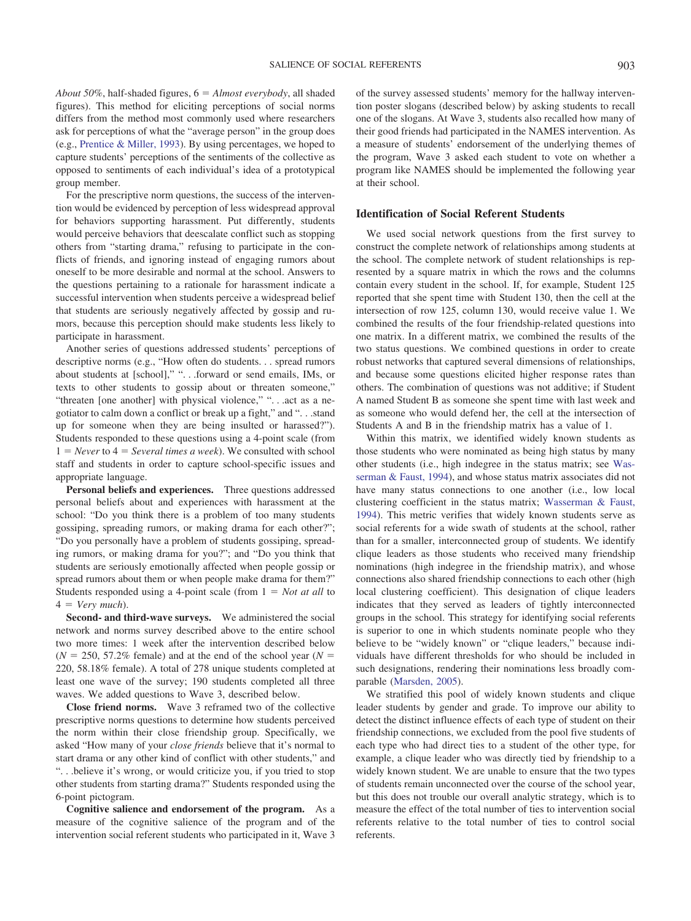*About 50%*, half-shaded figures, 6 *Almost everybody*, all shaded figures). This method for eliciting perceptions of social norms differs from the method most commonly used where researchers ask for perceptions of what the "average person" in the group does (e.g., Prentice & Miller, 1993). By using percentages, we hoped to capture students' perceptions of the sentiments of the collective as opposed to sentiments of each individual's idea of a prototypical group member.

For the prescriptive norm questions, the success of the intervention would be evidenced by perception of less widespread approval for behaviors supporting harassment. Put differently, students would perceive behaviors that deescalate conflict such as stopping others from "starting drama," refusing to participate in the conflicts of friends, and ignoring instead of engaging rumors about oneself to be more desirable and normal at the school. Answers to the questions pertaining to a rationale for harassment indicate a successful intervention when students perceive a widespread belief that students are seriously negatively affected by gossip and rumors, because this perception should make students less likely to participate in harassment.

Another series of questions addressed students' perceptions of descriptive norms (e.g., "How often do students. . . spread rumors about students at [school]," ". . .forward or send emails, IMs, or texts to other students to gossip about or threaten someone," "threaten [one another] with physical violence," "... act as a negotiator to calm down a conflict or break up a fight," and ". . .stand up for someone when they are being insulted or harassed?"). Students responded to these questions using a 4-point scale (from  $1 = Never to 4 = Several times a week$ . We consulted with school staff and students in order to capture school-specific issues and appropriate language.

**Personal beliefs and experiences.** Three questions addressed personal beliefs about and experiences with harassment at the school: "Do you think there is a problem of too many students gossiping, spreading rumors, or making drama for each other?"; "Do you personally have a problem of students gossiping, spreading rumors, or making drama for you?"; and "Do you think that students are seriously emotionally affected when people gossip or spread rumors about them or when people make drama for them?" Students responded using a 4-point scale (from  $1 = Not$  *at all* to  $4 = \text{Verv much}.$ 

**Second- and third-wave surveys.** We administered the social network and norms survey described above to the entire school two more times: 1 week after the intervention described below (*N* 250, 57.2% female) and at the end of the school year (*N* 220, 58.18% female). A total of 278 unique students completed at least one wave of the survey; 190 students completed all three waves. We added questions to Wave 3, described below.

**Close friend norms.** Wave 3 reframed two of the collective prescriptive norms questions to determine how students perceived the norm within their close friendship group. Specifically, we asked "How many of your *close friends* believe that it's normal to start drama or any other kind of conflict with other students," and ". . .believe it's wrong, or would criticize you, if you tried to stop other students from starting drama?" Students responded using the 6-point pictogram.

**Cognitive salience and endorsement of the program.** As a measure of the cognitive salience of the program and of the intervention social referent students who participated in it, Wave 3 of the survey assessed students' memory for the hallway intervention poster slogans (described below) by asking students to recall one of the slogans. At Wave 3, students also recalled how many of their good friends had participated in the NAMES intervention. As a measure of students' endorsement of the underlying themes of the program, Wave 3 asked each student to vote on whether a program like NAMES should be implemented the following year at their school.

# **Identification of Social Referent Students**

We used social network questions from the first survey to construct the complete network of relationships among students at the school. The complete network of student relationships is represented by a square matrix in which the rows and the columns contain every student in the school. If, for example, Student 125 reported that she spent time with Student 130, then the cell at the intersection of row 125, column 130, would receive value 1. We combined the results of the four friendship-related questions into one matrix. In a different matrix, we combined the results of the two status questions. We combined questions in order to create robust networks that captured several dimensions of relationships, and because some questions elicited higher response rates than others. The combination of questions was not additive; if Student A named Student B as someone she spent time with last week and as someone who would defend her, the cell at the intersection of Students A and B in the friendship matrix has a value of 1.

Within this matrix, we identified widely known students as those students who were nominated as being high status by many other students (i.e., high indegree in the status matrix; see Wasserman & Faust, 1994), and whose status matrix associates did not have many status connections to one another (i.e., low local clustering coefficient in the status matrix; Wasserman & Faust, 1994). This metric verifies that widely known students serve as social referents for a wide swath of students at the school, rather than for a smaller, interconnected group of students. We identify clique leaders as those students who received many friendship nominations (high indegree in the friendship matrix), and whose connections also shared friendship connections to each other (high local clustering coefficient). This designation of clique leaders indicates that they served as leaders of tightly interconnected groups in the school. This strategy for identifying social referents is superior to one in which students nominate people who they believe to be "widely known" or "clique leaders," because individuals have different thresholds for who should be included in such designations, rendering their nominations less broadly comparable (Marsden, 2005).

We stratified this pool of widely known students and clique leader students by gender and grade. To improve our ability to detect the distinct influence effects of each type of student on their friendship connections, we excluded from the pool five students of each type who had direct ties to a student of the other type, for example, a clique leader who was directly tied by friendship to a widely known student. We are unable to ensure that the two types of students remain unconnected over the course of the school year, but this does not trouble our overall analytic strategy, which is to measure the effect of the total number of ties to intervention social referents relative to the total number of ties to control social referents.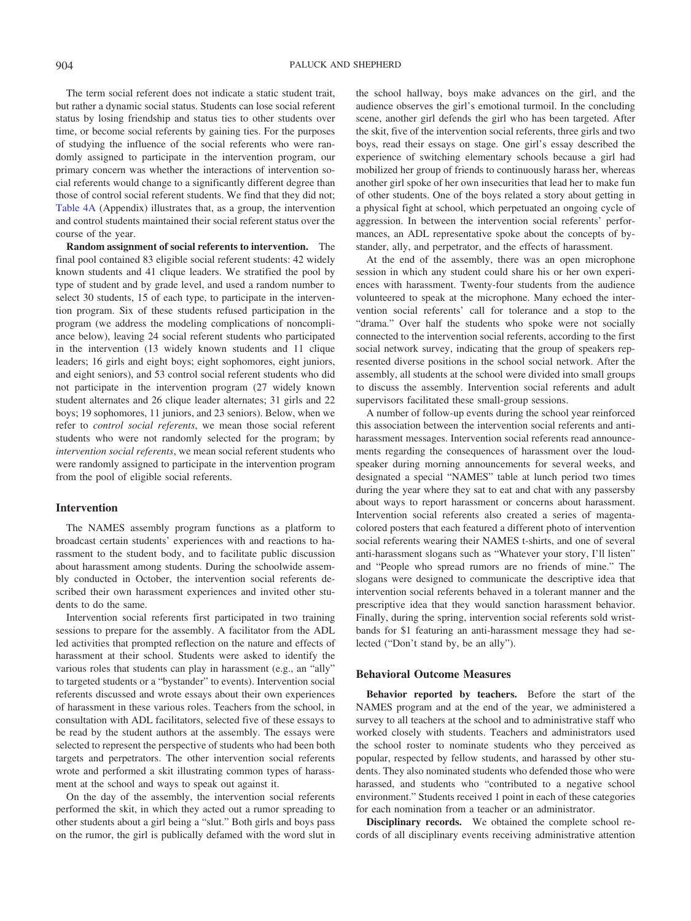The term social referent does not indicate a static student trait, but rather a dynamic social status. Students can lose social referent status by losing friendship and status ties to other students over time, or become social referents by gaining ties. For the purposes of studying the influence of the social referents who were randomly assigned to participate in the intervention program, our primary concern was whether the interactions of intervention social referents would change to a significantly different degree than those of control social referent students. We find that they did not; Table 4A (Appendix) illustrates that, as a group, the intervention and control students maintained their social referent status over the course of the year.

**Random assignment of social referents to intervention.** The final pool contained 83 eligible social referent students: 42 widely known students and 41 clique leaders. We stratified the pool by type of student and by grade level, and used a random number to select 30 students, 15 of each type, to participate in the intervention program. Six of these students refused participation in the program (we address the modeling complications of noncompliance below), leaving 24 social referent students who participated in the intervention (13 widely known students and 11 clique leaders; 16 girls and eight boys; eight sophomores, eight juniors, and eight seniors), and 53 control social referent students who did not participate in the intervention program (27 widely known student alternates and 26 clique leader alternates; 31 girls and 22 boys; 19 sophomores, 11 juniors, and 23 seniors). Below, when we refer to *control social referents*, we mean those social referent students who were not randomly selected for the program; by *intervention social referents*, we mean social referent students who were randomly assigned to participate in the intervention program from the pool of eligible social referents.

## **Intervention**

The NAMES assembly program functions as a platform to broadcast certain students' experiences with and reactions to harassment to the student body, and to facilitate public discussion about harassment among students. During the schoolwide assembly conducted in October, the intervention social referents described their own harassment experiences and invited other students to do the same.

Intervention social referents first participated in two training sessions to prepare for the assembly. A facilitator from the ADL led activities that prompted reflection on the nature and effects of harassment at their school. Students were asked to identify the various roles that students can play in harassment (e.g., an "ally" to targeted students or a "bystander" to events). Intervention social referents discussed and wrote essays about their own experiences of harassment in these various roles. Teachers from the school, in consultation with ADL facilitators, selected five of these essays to be read by the student authors at the assembly. The essays were selected to represent the perspective of students who had been both targets and perpetrators. The other intervention social referents wrote and performed a skit illustrating common types of harassment at the school and ways to speak out against it.

On the day of the assembly, the intervention social referents performed the skit, in which they acted out a rumor spreading to other students about a girl being a "slut." Both girls and boys pass on the rumor, the girl is publically defamed with the word slut in the school hallway, boys make advances on the girl, and the audience observes the girl's emotional turmoil. In the concluding scene, another girl defends the girl who has been targeted. After the skit, five of the intervention social referents, three girls and two boys, read their essays on stage. One girl's essay described the experience of switching elementary schools because a girl had mobilized her group of friends to continuously harass her, whereas another girl spoke of her own insecurities that lead her to make fun of other students. One of the boys related a story about getting in a physical fight at school, which perpetuated an ongoing cycle of aggression. In between the intervention social referents' performances, an ADL representative spoke about the concepts of bystander, ally, and perpetrator, and the effects of harassment.

At the end of the assembly, there was an open microphone session in which any student could share his or her own experiences with harassment. Twenty-four students from the audience volunteered to speak at the microphone. Many echoed the intervention social referents' call for tolerance and a stop to the "drama." Over half the students who spoke were not socially connected to the intervention social referents, according to the first social network survey, indicating that the group of speakers represented diverse positions in the school social network. After the assembly, all students at the school were divided into small groups to discuss the assembly. Intervention social referents and adult supervisors facilitated these small-group sessions.

A number of follow-up events during the school year reinforced this association between the intervention social referents and antiharassment messages. Intervention social referents read announcements regarding the consequences of harassment over the loudspeaker during morning announcements for several weeks, and designated a special "NAMES" table at lunch period two times during the year where they sat to eat and chat with any passersby about ways to report harassment or concerns about harassment. Intervention social referents also created a series of magentacolored posters that each featured a different photo of intervention social referents wearing their NAMES t-shirts, and one of several anti-harassment slogans such as "Whatever your story, I'll listen" and "People who spread rumors are no friends of mine." The slogans were designed to communicate the descriptive idea that intervention social referents behaved in a tolerant manner and the prescriptive idea that they would sanction harassment behavior. Finally, during the spring, intervention social referents sold wristbands for \$1 featuring an anti-harassment message they had selected ("Don't stand by, be an ally").

#### **Behavioral Outcome Measures**

**Behavior reported by teachers.** Before the start of the NAMES program and at the end of the year, we administered a survey to all teachers at the school and to administrative staff who worked closely with students. Teachers and administrators used the school roster to nominate students who they perceived as popular, respected by fellow students, and harassed by other students. They also nominated students who defended those who were harassed, and students who "contributed to a negative school environment." Students received 1 point in each of these categories for each nomination from a teacher or an administrator.

**Disciplinary records.** We obtained the complete school records of all disciplinary events receiving administrative attention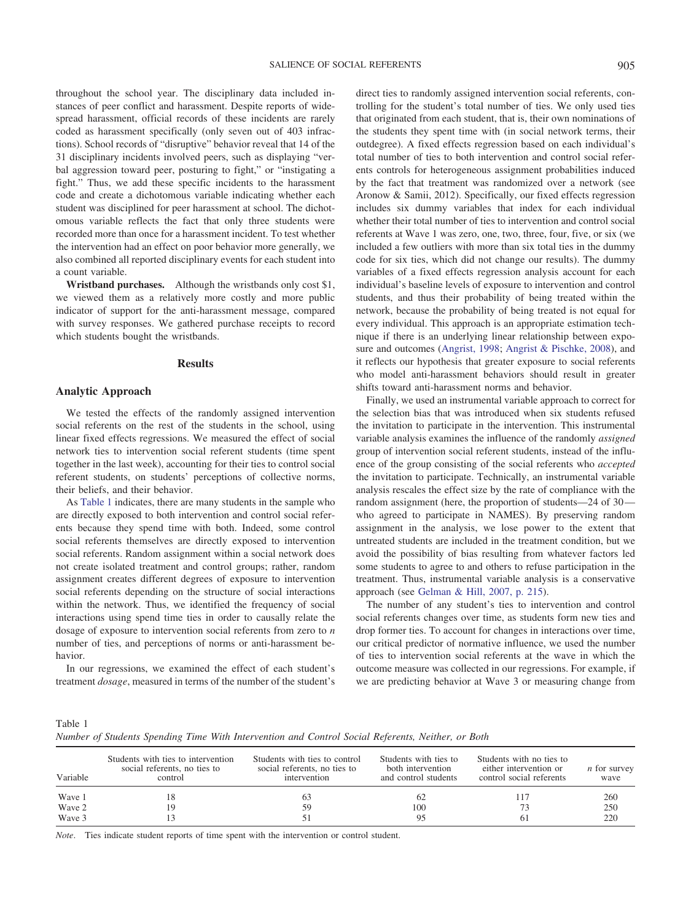throughout the school year. The disciplinary data included instances of peer conflict and harassment. Despite reports of widespread harassment, official records of these incidents are rarely coded as harassment specifically (only seven out of 403 infractions). School records of "disruptive" behavior reveal that 14 of the 31 disciplinary incidents involved peers, such as displaying "verbal aggression toward peer, posturing to fight," or "instigating a fight." Thus, we add these specific incidents to the harassment code and create a dichotomous variable indicating whether each student was disciplined for peer harassment at school. The dichotomous variable reflects the fact that only three students were recorded more than once for a harassment incident. To test whether the intervention had an effect on poor behavior more generally, we also combined all reported disciplinary events for each student into a count variable.

**Wristband purchases.** Although the wristbands only cost \$1, we viewed them as a relatively more costly and more public indicator of support for the anti-harassment message, compared with survey responses. We gathered purchase receipts to record which students bought the wristbands.

#### **Results**

#### **Analytic Approach**

We tested the effects of the randomly assigned intervention social referents on the rest of the students in the school, using linear fixed effects regressions. We measured the effect of social network ties to intervention social referent students (time spent together in the last week), accounting for their ties to control social referent students, on students' perceptions of collective norms, their beliefs, and their behavior.

As Table 1 indicates, there are many students in the sample who are directly exposed to both intervention and control social referents because they spend time with both. Indeed, some control social referents themselves are directly exposed to intervention social referents. Random assignment within a social network does not create isolated treatment and control groups; rather, random assignment creates different degrees of exposure to intervention social referents depending on the structure of social interactions within the network. Thus, we identified the frequency of social interactions using spend time ties in order to causally relate the dosage of exposure to intervention social referents from zero to *n* number of ties, and perceptions of norms or anti-harassment behavior.

In our regressions, we examined the effect of each student's treatment *dosage*, measured in terms of the number of the student's

direct ties to randomly assigned intervention social referents, controlling for the student's total number of ties. We only used ties that originated from each student, that is, their own nominations of the students they spent time with (in social network terms, their outdegree). A fixed effects regression based on each individual's total number of ties to both intervention and control social referents controls for heterogeneous assignment probabilities induced by the fact that treatment was randomized over a network (see Aronow & Samii, 2012). Specifically, our fixed effects regression includes six dummy variables that index for each individual whether their total number of ties to intervention and control social referents at Wave 1 was zero, one, two, three, four, five, or six (we included a few outliers with more than six total ties in the dummy code for six ties, which did not change our results). The dummy variables of a fixed effects regression analysis account for each individual's baseline levels of exposure to intervention and control students, and thus their probability of being treated within the network, because the probability of being treated is not equal for every individual. This approach is an appropriate estimation technique if there is an underlying linear relationship between exposure and outcomes (Angrist, 1998; Angrist & Pischke, 2008), and it reflects our hypothesis that greater exposure to social referents who model anti-harassment behaviors should result in greater shifts toward anti-harassment norms and behavior.

Finally, we used an instrumental variable approach to correct for the selection bias that was introduced when six students refused the invitation to participate in the intervention. This instrumental variable analysis examines the influence of the randomly *assigned* group of intervention social referent students, instead of the influence of the group consisting of the social referents who *accepted* the invitation to participate. Technically, an instrumental variable analysis rescales the effect size by the rate of compliance with the random assignment (here, the proportion of students—24 of 30 who agreed to participate in NAMES). By preserving random assignment in the analysis, we lose power to the extent that untreated students are included in the treatment condition, but we avoid the possibility of bias resulting from whatever factors led some students to agree to and others to refuse participation in the treatment. Thus, instrumental variable analysis is a conservative approach (see Gelman & Hill, 2007, p. 215).

The number of any student's ties to intervention and control social referents changes over time, as students form new ties and drop former ties. To account for changes in interactions over time, our critical predictor of normative influence, we used the number of ties to intervention social referents at the wave in which the outcome measure was collected in our regressions. For example, if we are predicting behavior at Wave 3 or measuring change from

Table 1

*Number of Students Spending Time With Intervention and Control Social Referents, Neither, or Both*

| Variable | Students with ties to intervention<br>social referents, no ties to<br>control | Students with ties to control<br>social referents, no ties to<br>intervention | Students with ties to<br>both intervention<br>and control students | Students with no ties to<br>either intervention or<br>control social referents | <i>n</i> for survey<br>wave |
|----------|-------------------------------------------------------------------------------|-------------------------------------------------------------------------------|--------------------------------------------------------------------|--------------------------------------------------------------------------------|-----------------------------|
| Wave 1   |                                                                               | 03                                                                            |                                                                    | 117                                                                            | 260                         |
| Wave 2   |                                                                               | 59                                                                            | 100                                                                |                                                                                | 250                         |
| Wave 3   |                                                                               |                                                                               |                                                                    | 61                                                                             | 220                         |

*Note*. Ties indicate student reports of time spent with the intervention or control student.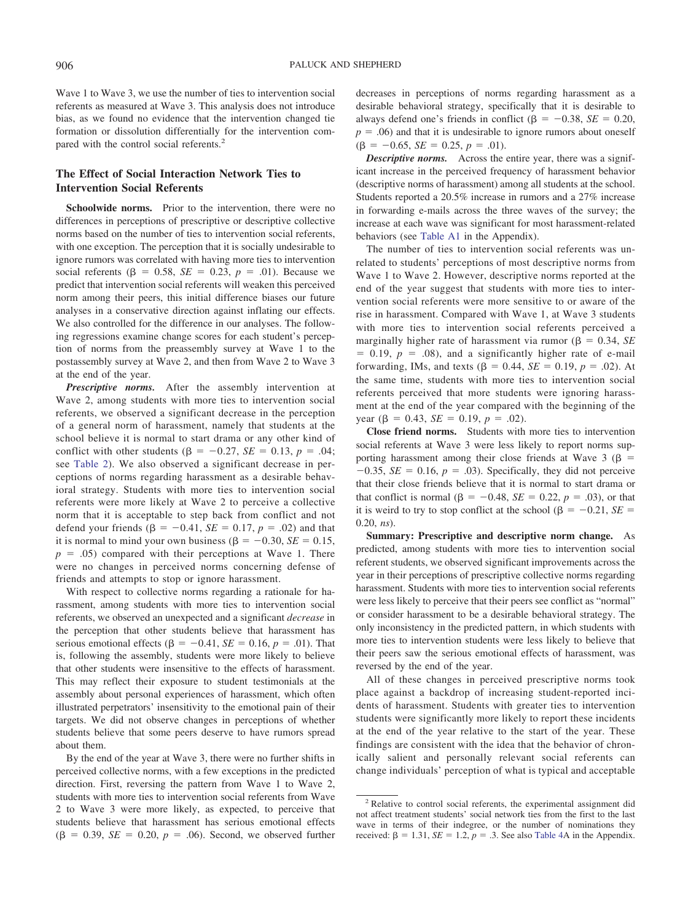Wave 1 to Wave 3, we use the number of ties to intervention social referents as measured at Wave 3. This analysis does not introduce bias, as we found no evidence that the intervention changed tie formation or dissolution differentially for the intervention compared with the control social referents.<sup>2</sup>

# **The Effect of Social Interaction Network Ties to Intervention Social Referents**

Schoolwide norms. Prior to the intervention, there were no differences in perceptions of prescriptive or descriptive collective norms based on the number of ties to intervention social referents, with one exception. The perception that it is socially undesirable to ignore rumors was correlated with having more ties to intervention social referents ( $\beta = 0.58$ ,  $SE = 0.23$ ,  $p = .01$ ). Because we predict that intervention social referents will weaken this perceived norm among their peers, this initial difference biases our future analyses in a conservative direction against inflating our effects. We also controlled for the difference in our analyses. The following regressions examine change scores for each student's perception of norms from the preassembly survey at Wave 1 to the postassembly survey at Wave 2, and then from Wave 2 to Wave 3 at the end of the year.

*Prescriptive norms.* After the assembly intervention at Wave 2, among students with more ties to intervention social referents, we observed a significant decrease in the perception of a general norm of harassment, namely that students at the school believe it is normal to start drama or any other kind of conflict with other students ( $\beta = -0.27$ , *SE* = 0.13, *p* = .04; see Table 2). We also observed a significant decrease in perceptions of norms regarding harassment as a desirable behavioral strategy. Students with more ties to intervention social referents were more likely at Wave 2 to perceive a collective norm that it is acceptable to step back from conflict and not defend your friends  $(\beta = -0.41, SE = 0.17, p = .02)$  and that it is normal to mind your own business ( $\beta = -0.30$ , *SE* = 0.15,  $p = .05$ ) compared with their perceptions at Wave 1. There were no changes in perceived norms concerning defense of friends and attempts to stop or ignore harassment.

With respect to collective norms regarding a rationale for harassment, among students with more ties to intervention social referents, we observed an unexpected and a significant *decrease* in the perception that other students believe that harassment has serious emotional effects ( $\beta = -0.41$ ,  $SE = 0.16$ ,  $p = .01$ ). That is, following the assembly, students were more likely to believe that other students were insensitive to the effects of harassment. This may reflect their exposure to student testimonials at the assembly about personal experiences of harassment, which often illustrated perpetrators' insensitivity to the emotional pain of their targets. We did not observe changes in perceptions of whether students believe that some peers deserve to have rumors spread about them.

By the end of the year at Wave 3, there were no further shifts in perceived collective norms, with a few exceptions in the predicted direction. First, reversing the pattern from Wave 1 to Wave 2, students with more ties to intervention social referents from Wave 2 to Wave 3 were more likely, as expected, to perceive that students believe that harassment has serious emotional effects  $(\beta = 0.39, SE = 0.20, p = .06)$ . Second, we observed further

decreases in perceptions of norms regarding harassment as a desirable behavioral strategy, specifically that it is desirable to always defend one's friends in conflict ( $\beta = -0.38$ , *SE* = 0.20,  $p = .06$ ) and that it is undesirable to ignore rumors about oneself  $(\beta = -0.65, SE = 0.25, p = .01).$ 

*Descriptive norms.* Across the entire year, there was a significant increase in the perceived frequency of harassment behavior (descriptive norms of harassment) among all students at the school. Students reported a 20.5% increase in rumors and a 27% increase in forwarding e-mails across the three waves of the survey; the increase at each wave was significant for most harassment-related behaviors (see Table A1 in the Appendix).

The number of ties to intervention social referents was unrelated to students' perceptions of most descriptive norms from Wave 1 to Wave 2. However, descriptive norms reported at the end of the year suggest that students with more ties to intervention social referents were more sensitive to or aware of the rise in harassment. Compared with Wave 1, at Wave 3 students with more ties to intervention social referents perceived a marginally higher rate of harassment via rumor ( $\beta = 0.34$ , *SE*  $= 0.19$ ,  $p = .08$ ), and a significantly higher rate of e-mail forwarding, IMs, and texts ( $\beta = 0.44$ ,  $SE = 0.19$ ,  $p = .02$ ). At the same time, students with more ties to intervention social referents perceived that more students were ignoring harassment at the end of the year compared with the beginning of the year ( $\beta = 0.43$ , *SE* = 0.19, *p* = .02).

**Close friend norms.** Students with more ties to intervention social referents at Wave 3 were less likely to report norms supporting harassment among their close friends at Wave 3 ( $\beta$  =  $-0.35$ , *SE* = 0.16,  $p = .03$ ). Specifically, they did not perceive that their close friends believe that it is normal to start drama or that conflict is normal ( $\beta = -0.48$ ,  $SE = 0.22$ ,  $p = .03$ ), or that it is weird to try to stop conflict at the school ( $\beta = -0.21$ ,  $SE =$ 0.20, *ns*).

**Summary: Prescriptive and descriptive norm change.** As predicted, among students with more ties to intervention social referent students, we observed significant improvements across the year in their perceptions of prescriptive collective norms regarding harassment. Students with more ties to intervention social referents were less likely to perceive that their peers see conflict as "normal" or consider harassment to be a desirable behavioral strategy. The only inconsistency in the predicted pattern, in which students with more ties to intervention students were less likely to believe that their peers saw the serious emotional effects of harassment, was reversed by the end of the year.

All of these changes in perceived prescriptive norms took place against a backdrop of increasing student-reported incidents of harassment. Students with greater ties to intervention students were significantly more likely to report these incidents at the end of the year relative to the start of the year. These findings are consistent with the idea that the behavior of chronically salient and personally relevant social referents can change individuals' perception of what is typical and acceptable

<sup>2</sup> Relative to control social referents, the experimental assignment did not affect treatment students' social network ties from the first to the last wave in terms of their indegree, or the number of nominations they received:  $\beta = 1.31$ ,  $SE = 1.2$ ,  $p = .3$ . See also Table 4A in the Appendix.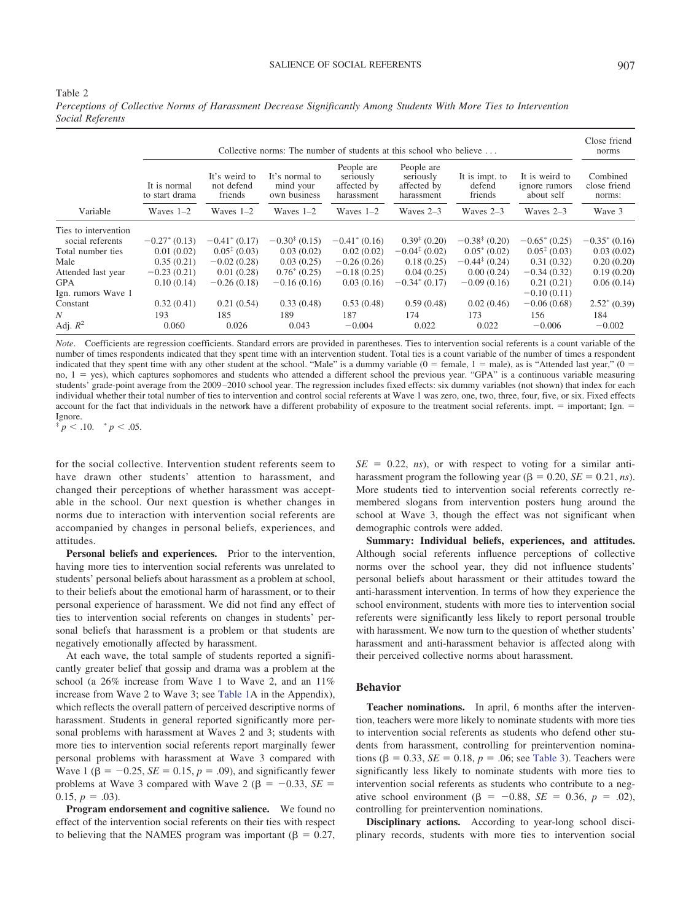|                      | Collective norms: The number of students at this school who believe |                                        |                                             |                                                      |                                                      |                                     |                                               |                                    |
|----------------------|---------------------------------------------------------------------|----------------------------------------|---------------------------------------------|------------------------------------------------------|------------------------------------------------------|-------------------------------------|-----------------------------------------------|------------------------------------|
|                      | It is normal<br>to start drama                                      | It's weird to<br>not defend<br>friends | It's normal to<br>mind your<br>own business | People are<br>seriously<br>affected by<br>harassment | People are<br>seriously<br>affected by<br>harassment | It is impt. to<br>defend<br>friends | It is weird to<br>ignore rumors<br>about self | Combined<br>close friend<br>norms: |
| Variable             | Waves $1-2$                                                         | Waves $1-2$                            |                                             | Waves $1-2$<br>Waves $1-2$                           |                                                      | Waves $2-3$                         | Waves $2-3$                                   | Wave 3                             |
| Ties to intervention |                                                                     |                                        |                                             |                                                      |                                                      |                                     |                                               |                                    |
| social referents     | $-0.27^*(0.13)$                                                     | $-0.41$ $(0.17)$                       | $-0.30^{*}(0.15)$                           | $-0.41$ <sup>*</sup> (0.16)                          | $0.39^{\ddagger}$ (0.20)                             | $-0.38^{\ddagger}(0.20)$            | $-0.65^* (0.25)$                              | $-0.35^* (0.16)$                   |
| Total number ties    | 0.01(0.02)                                                          | $0.05^{\ddagger}$ (0.03)               | 0.03(0.02)                                  | 0.02(0.02)                                           | $-0.04^{\ddagger}(0.02)$                             | $0.05^* (0.02)$                     | $0.05^{\ddagger}(0.03)$                       | 0.03(0.02)                         |
| Male                 | 0.35(0.21)                                                          | $-0.02(0.28)$                          | 0.03(0.25)                                  | $-0.26(0.26)$                                        | 0.18(0.25)                                           | $-0.44^{\ddagger}(0.24)$            | 0.31(0.32)                                    | 0.20(0.20)                         |
| Attended last year   | $-0.23(0.21)$                                                       | 0.01(0.28)                             | $0.76^* (0.25)$                             | $-0.18(0.25)$                                        | 0.04(0.25)                                           | 0.00(0.24)                          | $-0.34(0.32)$                                 | 0.19(0.20)                         |
| <b>GPA</b>           | 0.10(0.14)                                                          | $-0.26(0.18)$                          | $-0.16(0.16)$                               | 0.03(0.16)                                           | $-0.34$ <sup>*</sup> (0.17)                          | $-0.09(0.16)$                       | 0.21(0.21)                                    | 0.06(0.14)                         |
| Ign. rumors Wave 1   |                                                                     |                                        |                                             |                                                      |                                                      |                                     | $-0.10(0.11)$                                 |                                    |
| Constant             | 0.32(0.41)                                                          | 0.21(0.54)                             | 0.33(0.48)                                  | 0.53(0.48)                                           | 0.59(0.48)                                           | 0.02(0.46)                          | $-0.06(0.68)$                                 | $2.52^*(0.39)$                     |
| Ν                    | 193                                                                 | 185                                    | 189                                         | 187                                                  | 174                                                  | 173                                 | 156                                           | 184                                |
| Adj. $R^2$           | 0.060                                                               | 0.026                                  | 0.043                                       | $-0.004$                                             | 0.022                                                | 0.022                               | $-0.006$                                      | $-0.002$                           |

Table 2 *Perceptions of Collective Norms of Harassment Decrease Significantly Among Students With More Ties to Intervention Social Referents*

*Note*. Coefficients are regression coefficients. Standard errors are provided in parentheses. Ties to intervention social referents is a count variable of the number of times respondents indicated that they spent time with an intervention student. Total ties is a count variable of the number of times a respondent indicated that they spent time with any other student at the school. "Male" is a dummy variable ( $0 =$  female,  $1 =$  male), as is "Attended last year," ( $0 =$ no,  $1 =$  yes), which captures sophomores and students who attended a different school the previous year. "GPA" is a continuous variable measuring students' grade-point average from the 2009 –2010 school year. The regression includes fixed effects: six dummy variables (not shown) that index for each individual whether their total number of ties to intervention and control social referents at Wave 1 was zero, one, two, three, four, five, or six. Fixed effects account for the fact that individuals in the network have a different probability of exposure to the treatment social referents. impt. = important; Ign. = Ignore.

 $\frac{p}{p}$  < .10.  $\frac{p}{p}$  < .05.

for the social collective. Intervention student referents seem to have drawn other students' attention to harassment, and changed their perceptions of whether harassment was acceptable in the school. Our next question is whether changes in norms due to interaction with intervention social referents are accompanied by changes in personal beliefs, experiences, and attitudes.

**Personal beliefs and experiences.** Prior to the intervention, having more ties to intervention social referents was unrelated to students' personal beliefs about harassment as a problem at school, to their beliefs about the emotional harm of harassment, or to their personal experience of harassment. We did not find any effect of ties to intervention social referents on changes in students' personal beliefs that harassment is a problem or that students are negatively emotionally affected by harassment.

At each wave, the total sample of students reported a significantly greater belief that gossip and drama was a problem at the school (a 26% increase from Wave 1 to Wave 2, and an 11% increase from Wave 2 to Wave 3; see Table 1A in the Appendix), which reflects the overall pattern of perceived descriptive norms of harassment. Students in general reported significantly more personal problems with harassment at Waves 2 and 3; students with more ties to intervention social referents report marginally fewer personal problems with harassment at Wave 3 compared with Wave 1 (β =  $-0.25$ , *SE* = 0.15, *p* = .09), and significantly fewer problems at Wave 3 compared with Wave 2 ( $\beta = -0.33$ , *SE* = 0.15,  $p = .03$ ).

**Program endorsement and cognitive salience.** We found no effect of the intervention social referents on their ties with respect to believing that the NAMES program was important ( $\beta = 0.27$ ,

 $SE = 0.22$ , *ns*), or with respect to voting for a similar antiharassment program the following year ( $\beta = 0.20$ ,  $SE = 0.21$ , *ns*). More students tied to intervention social referents correctly remembered slogans from intervention posters hung around the school at Wave 3, though the effect was not significant when demographic controls were added.

**Summary: Individual beliefs, experiences, and attitudes.** Although social referents influence perceptions of collective norms over the school year, they did not influence students' personal beliefs about harassment or their attitudes toward the anti-harassment intervention. In terms of how they experience the school environment, students with more ties to intervention social referents were significantly less likely to report personal trouble with harassment. We now turn to the question of whether students' harassment and anti-harassment behavior is affected along with their perceived collective norms about harassment.

#### **Behavior**

**Teacher nominations.** In april, 6 months after the intervention, teachers were more likely to nominate students with more ties to intervention social referents as students who defend other students from harassment, controlling for preintervention nominations ( $\beta = 0.33$ ,  $SE = 0.18$ ,  $p = .06$ ; see Table 3). Teachers were significantly less likely to nominate students with more ties to intervention social referents as students who contribute to a negative school environment ( $\beta = -0.88$ , *SE* = 0.36, *p* = .02), controlling for preintervention nominations.

**Disciplinary actions.** According to year-long school disciplinary records, students with more ties to intervention social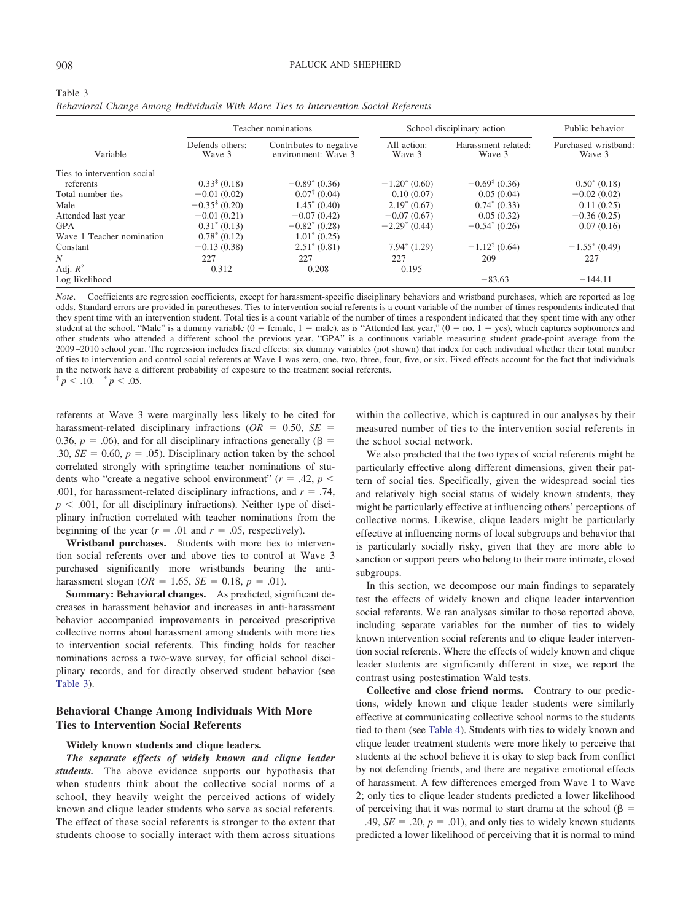Table 3

|                             |                           | Teacher nominations                            | School disciplinary action | Public behavior               |                                |
|-----------------------------|---------------------------|------------------------------------------------|----------------------------|-------------------------------|--------------------------------|
| Variable                    | Defends others:<br>Wave 3 | Contributes to negative<br>environment: Wave 3 | All action:<br>Wave 3      | Harassment related:<br>Wave 3 | Purchased wristband:<br>Wave 3 |
| Ties to intervention social |                           |                                                |                            |                               |                                |
| referents                   | $0.33^{\ddagger}$ (0.18)  | $-0.89^{\ast}(0.36)$                           | $-1.20^{\circ}$ (0.60)     | $-0.69^{\ddagger}(0.36)$      | $0.50^* (0.18)$                |
| Total number ties           | $-0.01(0.02)$             | $0.07^{\ddagger}$ (0.04)                       | 0.10(0.07)                 | 0.05(0.04)                    | $-0.02(0.02)$                  |
| Male                        | $-0.35^{\ddagger}(0.20)$  | $1.45^* (0.40)$                                | $2.19*(0.67)$              | $0.74^* (0.33)$               | 0.11(0.25)                     |
| Attended last year          | $-0.01(0.21)$             | $-0.07(0.42)$                                  | $-0.07(0.67)$              | 0.05(0.32)                    | $-0.36(0.25)$                  |
| <b>GPA</b>                  | $0.31^* (0.13)$           | $-0.82^*(0.28)$                                | $-2.29^{\ast}(0.44)$       | $-0.54$ <sup>*</sup> (0.26)   | 0.07(0.16)                     |
| Wave 1 Teacher nomination   | $0.78^*(0.12)$            | $1.01^* (0.25)$                                |                            |                               |                                |
| Constant                    | $-0.13(0.38)$             | $2.51^* (0.81)$                                | $7.94^*(1.29)$             | $-1.12^{*}(0.64)$             | $-1.55$ * (0.49)               |
| N                           | 227                       | 227                                            | 227                        | 209                           | 227                            |
| Adj. $R^2$                  | 0.312                     | 0.208                                          | 0.195                      |                               |                                |
| Log likelihood              |                           |                                                |                            | $-83.63$                      | $-144.11$                      |

|  |  |  | Behavioral Change Among Individuals With More Ties to Intervention Social Referents |  |
|--|--|--|-------------------------------------------------------------------------------------|--|

*Note*. Coefficients are regression coefficients, except for harassment-specific disciplinary behaviors and wristband purchases, which are reported as log odds. Standard errors are provided in parentheses. Ties to intervention social referents is a count variable of the number of times respondents indicated that they spent time with an intervention student. Total ties is a count variable of the number of times a respondent indicated that they spent time with any other student at the school. "Male" is a dummy variable ( $0 =$  female,  $1 =$  male), as is "Attended last year," ( $0 =$  no,  $1 =$  yes), which captures sophomores and other students who attended a different school the previous year. "GPA" is a continuous variable measuring student grade-point average from the 2009 –2010 school year. The regression includes fixed effects: six dummy variables (not shown) that index for each individual whether their total number of ties to intervention and control social referents at Wave 1 was zero, one, two, three, four, five, or six. Fixed effects account for the fact that individuals in the network have a different probability of exposure to the treatment social referents.  $\frac{4}{p}$  *p* < .10.  $\frac{4}{p}$  < .05.

referents at Wave 3 were marginally less likely to be cited for harassment-related disciplinary infractions ( $OR = 0.50$ ,  $SE =$ 0.36,  $p = .06$ ), and for all disciplinary infractions generally ( $\beta =$ .30,  $SE = 0.60$ ,  $p = .05$ ). Disciplinary action taken by the school correlated strongly with springtime teacher nominations of students who "create a negative school environment" ( $r = .42$ ,  $p <$ .001, for harassment-related disciplinary infractions, and  $r = .74$ ,  $p < .001$ , for all disciplinary infractions). Neither type of disciplinary infraction correlated with teacher nominations from the beginning of the year  $(r = .01$  and  $r = .05$ , respectively).

**Wristband purchases.** Students with more ties to intervention social referents over and above ties to control at Wave 3 purchased significantly more wristbands bearing the antiharassment slogan ( $OR = 1.65$ ,  $SE = 0.18$ ,  $p = .01$ ).

**Summary: Behavioral changes.** As predicted, significant decreases in harassment behavior and increases in anti-harassment behavior accompanied improvements in perceived prescriptive collective norms about harassment among students with more ties to intervention social referents. This finding holds for teacher nominations across a two-wave survey, for official school disciplinary records, and for directly observed student behavior (see Table 3).

# **Behavioral Change Among Individuals With More Ties to Intervention Social Referents**

#### **Widely known students and clique leaders.**

*The separate effects of widely known and clique leader students.* The above evidence supports our hypothesis that when students think about the collective social norms of a school, they heavily weight the perceived actions of widely known and clique leader students who serve as social referents. The effect of these social referents is stronger to the extent that students choose to socially interact with them across situations

within the collective, which is captured in our analyses by their measured number of ties to the intervention social referents in the school social network.

We also predicted that the two types of social referents might be particularly effective along different dimensions, given their pattern of social ties. Specifically, given the widespread social ties and relatively high social status of widely known students, they might be particularly effective at influencing others' perceptions of collective norms. Likewise, clique leaders might be particularly effective at influencing norms of local subgroups and behavior that is particularly socially risky, given that they are more able to sanction or support peers who belong to their more intimate, closed subgroups.

In this section, we decompose our main findings to separately test the effects of widely known and clique leader intervention social referents. We ran analyses similar to those reported above, including separate variables for the number of ties to widely known intervention social referents and to clique leader intervention social referents. Where the effects of widely known and clique leader students are significantly different in size, we report the contrast using postestimation Wald tests.

**Collective and close friend norms.** Contrary to our predictions, widely known and clique leader students were similarly effective at communicating collective school norms to the students tied to them (see Table 4). Students with ties to widely known and clique leader treatment students were more likely to perceive that students at the school believe it is okay to step back from conflict by not defending friends, and there are negative emotional effects of harassment. A few differences emerged from Wave 1 to Wave 2; only ties to clique leader students predicted a lower likelihood of perceiving that it was normal to start drama at the school ( $\beta$  =  $-.49$ , *SE* = .20,  $p = .01$ ), and only ties to widely known students predicted a lower likelihood of perceiving that it is normal to mind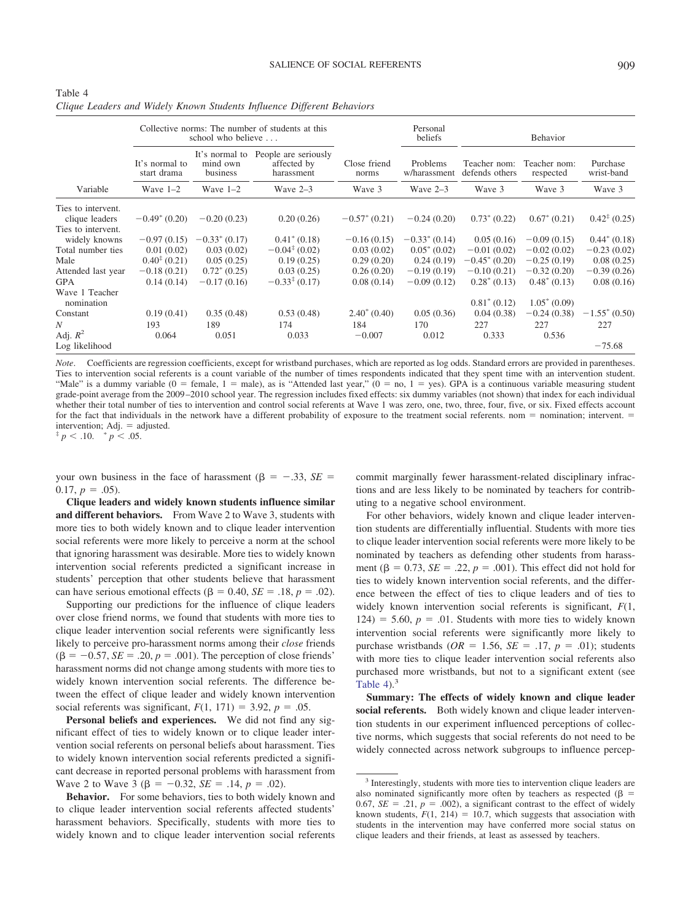|                              | Collective norms: The number of students at this<br>school who believe |                                        |                                                   |                       | Personal<br>beliefs      | Behavior                       |                           |                             |  |
|------------------------------|------------------------------------------------------------------------|----------------------------------------|---------------------------------------------------|-----------------------|--------------------------|--------------------------------|---------------------------|-----------------------------|--|
|                              | It's normal to<br>start drama                                          | It's normal to<br>mind own<br>business | People are seriously<br>affected by<br>harassment | Close friend<br>norms | Problems<br>w/harassment | Teacher nom:<br>defends others | Teacher nom:<br>respected | Purchase<br>wrist-band      |  |
| Variable                     | Wave $1-2$                                                             | Wave $1-2$                             | Wave $2-3$                                        | Wave 3                | Wave $2-3$               | Wave 3                         | Wave 3                    | Wave 3                      |  |
| Ties to intervent.           |                                                                        |                                        |                                                   |                       |                          |                                |                           |                             |  |
| clique leaders               | $-0.49^{\ast}(0.20)$                                                   | $-0.20(0.23)$                          | 0.20(0.26)                                        | $-0.57^*(0.21)$       | $-0.24(0.20)$            | $0.73^*(0.22)$                 | $0.67^*(0.21)$            | $0.42^{*} (0.25)$           |  |
| Ties to intervent.           |                                                                        |                                        |                                                   |                       |                          |                                |                           |                             |  |
| widely knowns                | $-0.97(0.15)$                                                          | $-0.33$ <sup>*</sup> (0.17)            | $0.41^* (0.18)$                                   | $-0.16(0.15)$         | $-0.33^* (0.14)$         | 0.05(0.16)                     | $-0.09(0.15)$             | $0.44^* (0.18)$             |  |
| Total number ties            | 0.01(0.02)                                                             | 0.03(0.02)                             | $-0.04^{\ddagger}(0.02)$                          | 0.03(0.02)            | $0.05^* (0.02)$          | $-0.01(0.02)$                  | $-0.02(0.02)$             | $-0.23(0.02)$               |  |
| Male                         | $0.40^{*}$ (0.21)                                                      | 0.05(0.25)                             | 0.19(0.25)                                        | 0.29(0.20)            | 0.24(0.19)               | $-0.45^* (0.20)$               | $-0.25(0.19)$             | 0.08(0.25)                  |  |
| Attended last year           | $-0.18(0.21)$                                                          | $0.72^*(0.25)$                         | 0.03(0.25)                                        | 0.26(0.20)            | $-0.19(0.19)$            | $-0.10(0.21)$                  | $-0.32(0.20)$             | $-0.39(0.26)$               |  |
| <b>GPA</b>                   | 0.14(0.14)                                                             | $-0.17(0.16)$                          | $-0.33^{\ddagger}(0.17)$                          | 0.08(0.14)            | $-0.09(0.12)$            | $0.28^*(0.13)$                 | $0.48^*(0.13)$            | 0.08(0.16)                  |  |
| Wave 1 Teacher<br>nomination |                                                                        |                                        |                                                   |                       |                          | $0.81^* (0.12)$                | $1.05^*(0.09)$            |                             |  |
| Constant                     | 0.19(0.41)                                                             | 0.35(0.48)                             | 0.53(0.48)                                        | $2.40^* (0.40)$       | 0.05(0.36)               | 0.04(0.38)                     | $-0.24(0.38)$             | $-1.55$ <sup>*</sup> (0.50) |  |
| Ν                            | 193                                                                    | 189                                    | 174                                               | 184                   | 170                      | 227                            | 227                       | 227                         |  |
| Adj. $R^2$                   | 0.064                                                                  | 0.051                                  | 0.033                                             | $-0.007$              | 0.012                    | 0.333                          | 0.536                     |                             |  |
| Log likelihood               |                                                                        |                                        |                                                   |                       |                          |                                |                           | $-75.68$                    |  |

Table 4 *Clique Leaders and Widely Known Students Influence Different Behaviors*

*Note*. Coefficients are regression coefficients, except for wristband purchases, which are reported as log odds. Standard errors are provided in parentheses. Ties to intervention social referents is a count variable of the number of times respondents indicated that they spent time with an intervention student. "Male" is a dummy variable  $(0 = \text{female}, 1 = \text{male})$ , as is "Attended last year,"  $(0 = \text{no}, 1 = \text{yes})$ . GPA is a continuous variable measuring student grade-point average from the 2009 –2010 school year. The regression includes fixed effects: six dummy variables (not shown) that index for each individual whether their total number of ties to intervention and control social referents at Wave 1 was zero, one, two, three, four, five, or six. Fixed effects account for the fact that individuals in the network have a different probability of exposure to the treatment social referents. nom = nomination; intervent. = intervention; Adj. = adjusted.<br>  $\frac{p}{p}$  < .10.  $\frac{p}{p}$  < .05.

your own business in the face of harassment ( $\beta = -.33$ ,  $SE =$  $0.17, p = .05$ ).

**Clique leaders and widely known students influence similar and different behaviors.** From Wave 2 to Wave 3, students with more ties to both widely known and to clique leader intervention social referents were more likely to perceive a norm at the school that ignoring harassment was desirable. More ties to widely known intervention social referents predicted a significant increase in students' perception that other students believe that harassment can have serious emotional effects ( $\beta = 0.40$ ,  $SE = .18$ ,  $p = .02$ ).

Supporting our predictions for the influence of clique leaders over close friend norms, we found that students with more ties to clique leader intervention social referents were significantly less likely to perceive pro-harassment norms among their *close* friends  $(\beta = -0.57, SE = .20, p = .001)$ . The perception of close friends' harassment norms did not change among students with more ties to widely known intervention social referents. The difference between the effect of clique leader and widely known intervention social referents was significant,  $F(1, 171) = 3.92$ ,  $p = .05$ .

**Personal beliefs and experiences.** We did not find any significant effect of ties to widely known or to clique leader intervention social referents on personal beliefs about harassment. Ties to widely known intervention social referents predicted a significant decrease in reported personal problems with harassment from Wave 2 to Wave 3 ( $\beta = -0.32$ , *SE* = .14, *p* = .02).

Behavior. For some behaviors, ties to both widely known and to clique leader intervention social referents affected students' harassment behaviors. Specifically, students with more ties to widely known and to clique leader intervention social referents

commit marginally fewer harassment-related disciplinary infractions and are less likely to be nominated by teachers for contributing to a negative school environment.

For other behaviors, widely known and clique leader intervention students are differentially influential. Students with more ties to clique leader intervention social referents were more likely to be nominated by teachers as defending other students from harassment ( $\beta = 0.73$ ,  $SE = .22$ ,  $p = .001$ ). This effect did not hold for ties to widely known intervention social referents, and the difference between the effect of ties to clique leaders and of ties to widely known intervention social referents is significant, *F*(1,  $124$ ) = 5.60,  $p = .01$ . Students with more ties to widely known intervention social referents were significantly more likely to purchase wristbands ( $OR = 1.56$ ,  $SE = .17$ ,  $p = .01$ ); students with more ties to clique leader intervention social referents also purchased more wristbands, but not to a significant extent (see Table 4). $3$ 

**Summary: The effects of widely known and clique leader social referents.** Both widely known and clique leader intervention students in our experiment influenced perceptions of collective norms, which suggests that social referents do not need to be widely connected across network subgroups to influence percep-

<sup>&</sup>lt;sup>3</sup> Interestingly, students with more ties to intervention clique leaders are also nominated significantly more often by teachers as respected ( $\beta$  = 0.67,  $SE = .21$ ,  $p = .002$ ), a significant contrast to the effect of widely known students,  $F(1, 214) = 10.7$ , which suggests that association with students in the intervention may have conferred more social status on clique leaders and their friends, at least as assessed by teachers.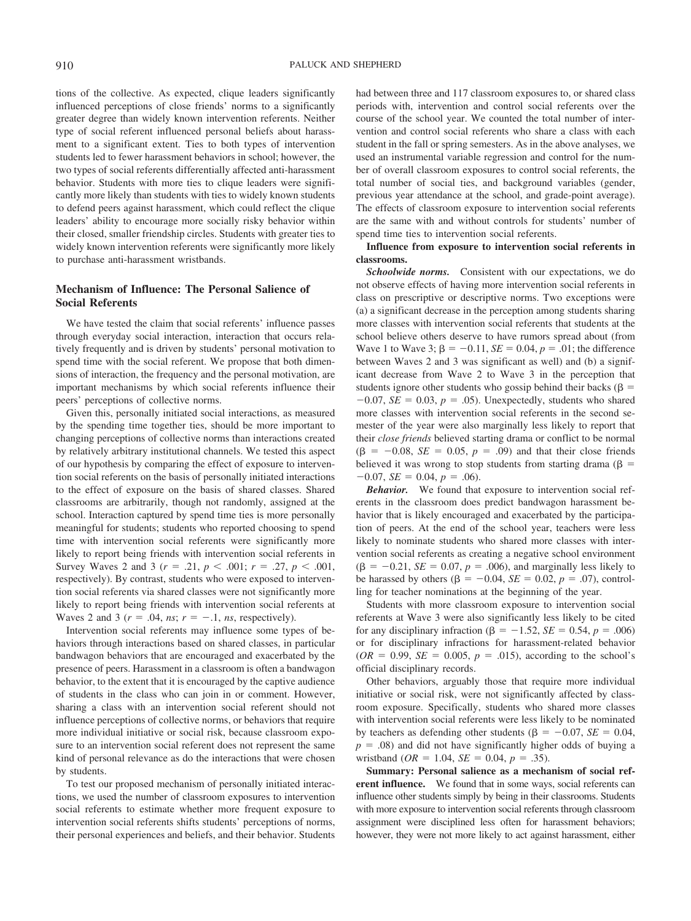tions of the collective. As expected, clique leaders significantly influenced perceptions of close friends' norms to a significantly greater degree than widely known intervention referents. Neither type of social referent influenced personal beliefs about harassment to a significant extent. Ties to both types of intervention students led to fewer harassment behaviors in school; however, the two types of social referents differentially affected anti-harassment behavior. Students with more ties to clique leaders were significantly more likely than students with ties to widely known students to defend peers against harassment, which could reflect the clique leaders' ability to encourage more socially risky behavior within their closed, smaller friendship circles. Students with greater ties to widely known intervention referents were significantly more likely to purchase anti-harassment wristbands.

# **Mechanism of Influence: The Personal Salience of Social Referents**

We have tested the claim that social referents' influence passes through everyday social interaction, interaction that occurs relatively frequently and is driven by students' personal motivation to spend time with the social referent. We propose that both dimensions of interaction, the frequency and the personal motivation, are important mechanisms by which social referents influence their peers' perceptions of collective norms.

Given this, personally initiated social interactions, as measured by the spending time together ties, should be more important to changing perceptions of collective norms than interactions created by relatively arbitrary institutional channels. We tested this aspect of our hypothesis by comparing the effect of exposure to intervention social referents on the basis of personally initiated interactions to the effect of exposure on the basis of shared classes. Shared classrooms are arbitrarily, though not randomly, assigned at the school. Interaction captured by spend time ties is more personally meaningful for students; students who reported choosing to spend time with intervention social referents were significantly more likely to report being friends with intervention social referents in Survey Waves 2 and 3 ( $r = .21$ ,  $p < .001$ ;  $r = .27$ ,  $p < .001$ , respectively). By contrast, students who were exposed to intervention social referents via shared classes were not significantly more likely to report being friends with intervention social referents at Waves 2 and 3 ( $r = .04$ ,  $ns$ ;  $r = -.1$ ,  $ns$ , respectively).

Intervention social referents may influence some types of behaviors through interactions based on shared classes, in particular bandwagon behaviors that are encouraged and exacerbated by the presence of peers. Harassment in a classroom is often a bandwagon behavior, to the extent that it is encouraged by the captive audience of students in the class who can join in or comment. However, sharing a class with an intervention social referent should not influence perceptions of collective norms, or behaviors that require more individual initiative or social risk, because classroom exposure to an intervention social referent does not represent the same kind of personal relevance as do the interactions that were chosen by students.

To test our proposed mechanism of personally initiated interactions, we used the number of classroom exposures to intervention social referents to estimate whether more frequent exposure to intervention social referents shifts students' perceptions of norms, their personal experiences and beliefs, and their behavior. Students had between three and 117 classroom exposures to, or shared class periods with, intervention and control social referents over the course of the school year. We counted the total number of intervention and control social referents who share a class with each student in the fall or spring semesters. As in the above analyses, we used an instrumental variable regression and control for the number of overall classroom exposures to control social referents, the total number of social ties, and background variables (gender, previous year attendance at the school, and grade-point average). The effects of classroom exposure to intervention social referents are the same with and without controls for students' number of spend time ties to intervention social referents.

#### **Influence from exposure to intervention social referents in classrooms.**

*Schoolwide norms.* Consistent with our expectations, we do not observe effects of having more intervention social referents in class on prescriptive or descriptive norms. Two exceptions were (a) a significant decrease in the perception among students sharing more classes with intervention social referents that students at the school believe others deserve to have rumors spread about (from Wave 1 to Wave 3;  $\beta = -0.11$ ,  $SE = 0.04$ ,  $p = .01$ ; the difference between Waves 2 and 3 was significant as well) and (b) a significant decrease from Wave 2 to Wave 3 in the perception that students ignore other students who gossip behind their backs ( $\beta$  =  $-0.07$ , *SE* = 0.03,  $p = .05$ ). Unexpectedly, students who shared more classes with intervention social referents in the second semester of the year were also marginally less likely to report that their *close friends* believed starting drama or conflict to be normal  $(\beta = -0.08, \, SE = 0.05, \, p = .09)$  and that their close friends believed it was wrong to stop students from starting drama ( $\beta$  =  $-0.07$ , *SE* = 0.04, *p* = .06).

*Behavior.* We found that exposure to intervention social referents in the classroom does predict bandwagon harassment behavior that is likely encouraged and exacerbated by the participation of peers. At the end of the school year, teachers were less likely to nominate students who shared more classes with intervention social referents as creating a negative school environment  $(\beta = -0.21, \, SE = 0.07, p = .006)$ , and marginally less likely to be harassed by others  $(\beta = -0.04, SE = 0.02, p = .07)$ , controlling for teacher nominations at the beginning of the year.

Students with more classroom exposure to intervention social referents at Wave 3 were also significantly less likely to be cited for any disciplinary infraction ( $\beta = -1.52$ ,  $SE = 0.54$ ,  $p = .006$ ) or for disciplinary infractions for harassment-related behavior  $(OR = 0.99, SE = 0.005, p = .015)$ , according to the school's official disciplinary records.

Other behaviors, arguably those that require more individual initiative or social risk, were not significantly affected by classroom exposure. Specifically, students who shared more classes with intervention social referents were less likely to be nominated by teachers as defending other students ( $\beta = -0.07$ ,  $SE = 0.04$ ,  $p = .08$ ) and did not have significantly higher odds of buying a wristband ( $OR = 1.04$ ,  $SE = 0.04$ ,  $p = .35$ ).

**Summary: Personal salience as a mechanism of social referent influence.** We found that in some ways, social referents can influence other students simply by being in their classrooms. Students with more exposure to intervention social referents through classroom assignment were disciplined less often for harassment behaviors; however, they were not more likely to act against harassment, either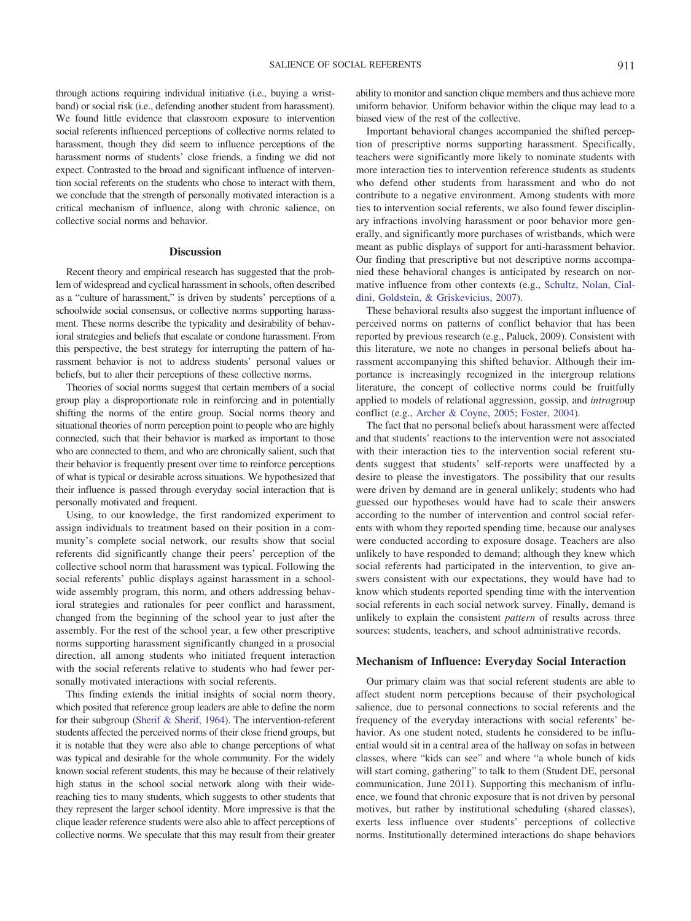through actions requiring individual initiative (i.e., buying a wristband) or social risk (i.e., defending another student from harassment). We found little evidence that classroom exposure to intervention social referents influenced perceptions of collective norms related to harassment, though they did seem to influence perceptions of the harassment norms of students' close friends, a finding we did not expect. Contrasted to the broad and significant influence of intervention social referents on the students who chose to interact with them, we conclude that the strength of personally motivated interaction is a critical mechanism of influence, along with chronic salience, on collective social norms and behavior.

#### **Discussion**

Recent theory and empirical research has suggested that the problem of widespread and cyclical harassment in schools, often described as a "culture of harassment," is driven by students' perceptions of a schoolwide social consensus, or collective norms supporting harassment. These norms describe the typicality and desirability of behavioral strategies and beliefs that escalate or condone harassment. From this perspective, the best strategy for interrupting the pattern of harassment behavior is not to address students' personal values or beliefs, but to alter their perceptions of these collective norms.

Theories of social norms suggest that certain members of a social group play a disproportionate role in reinforcing and in potentially shifting the norms of the entire group. Social norms theory and situational theories of norm perception point to people who are highly connected, such that their behavior is marked as important to those who are connected to them, and who are chronically salient, such that their behavior is frequently present over time to reinforce perceptions of what is typical or desirable across situations. We hypothesized that their influence is passed through everyday social interaction that is personally motivated and frequent.

Using, to our knowledge, the first randomized experiment to assign individuals to treatment based on their position in a community's complete social network, our results show that social referents did significantly change their peers' perception of the collective school norm that harassment was typical. Following the social referents' public displays against harassment in a schoolwide assembly program, this norm, and others addressing behavioral strategies and rationales for peer conflict and harassment, changed from the beginning of the school year to just after the assembly. For the rest of the school year, a few other prescriptive norms supporting harassment significantly changed in a prosocial direction, all among students who initiated frequent interaction with the social referents relative to students who had fewer personally motivated interactions with social referents.

This finding extends the initial insights of social norm theory, which posited that reference group leaders are able to define the norm for their subgroup (Sherif & Sherif, 1964). The intervention-referent students affected the perceived norms of their close friend groups, but it is notable that they were also able to change perceptions of what was typical and desirable for the whole community. For the widely known social referent students, this may be because of their relatively high status in the school social network along with their widereaching ties to many students, which suggests to other students that they represent the larger school identity. More impressive is that the clique leader reference students were also able to affect perceptions of collective norms. We speculate that this may result from their greater

ability to monitor and sanction clique members and thus achieve more uniform behavior. Uniform behavior within the clique may lead to a biased view of the rest of the collective.

Important behavioral changes accompanied the shifted perception of prescriptive norms supporting harassment. Specifically, teachers were significantly more likely to nominate students with more interaction ties to intervention reference students as students who defend other students from harassment and who do not contribute to a negative environment. Among students with more ties to intervention social referents, we also found fewer disciplinary infractions involving harassment or poor behavior more generally, and significantly more purchases of wristbands, which were meant as public displays of support for anti-harassment behavior. Our finding that prescriptive but not descriptive norms accompanied these behavioral changes is anticipated by research on normative influence from other contexts (e.g., Schultz, Nolan, Cialdini, Goldstein, & Griskevicius, 2007).

These behavioral results also suggest the important influence of perceived norms on patterns of conflict behavior that has been reported by previous research (e.g., Paluck, 2009). Consistent with this literature, we note no changes in personal beliefs about harassment accompanying this shifted behavior. Although their importance is increasingly recognized in the intergroup relations literature, the concept of collective norms could be fruitfully applied to models of relational aggression, gossip, and *intra*group conflict (e.g., Archer & Coyne, 2005; Foster, 2004).

The fact that no personal beliefs about harassment were affected and that students' reactions to the intervention were not associated with their interaction ties to the intervention social referent students suggest that students' self-reports were unaffected by a desire to please the investigators. The possibility that our results were driven by demand are in general unlikely; students who had guessed our hypotheses would have had to scale their answers according to the number of intervention and control social referents with whom they reported spending time, because our analyses were conducted according to exposure dosage. Teachers are also unlikely to have responded to demand; although they knew which social referents had participated in the intervention, to give answers consistent with our expectations, they would have had to know which students reported spending time with the intervention social referents in each social network survey. Finally, demand is unlikely to explain the consistent *pattern* of results across three sources: students, teachers, and school administrative records.

#### **Mechanism of Influence: Everyday Social Interaction**

Our primary claim was that social referent students are able to affect student norm perceptions because of their psychological salience, due to personal connections to social referents and the frequency of the everyday interactions with social referents' behavior. As one student noted, students he considered to be influential would sit in a central area of the hallway on sofas in between classes, where "kids can see" and where "a whole bunch of kids will start coming, gathering" to talk to them (Student DE, personal communication, June 2011). Supporting this mechanism of influence, we found that chronic exposure that is not driven by personal motives, but rather by institutional scheduling (shared classes), exerts less influence over students' perceptions of collective norms. Institutionally determined interactions do shape behaviors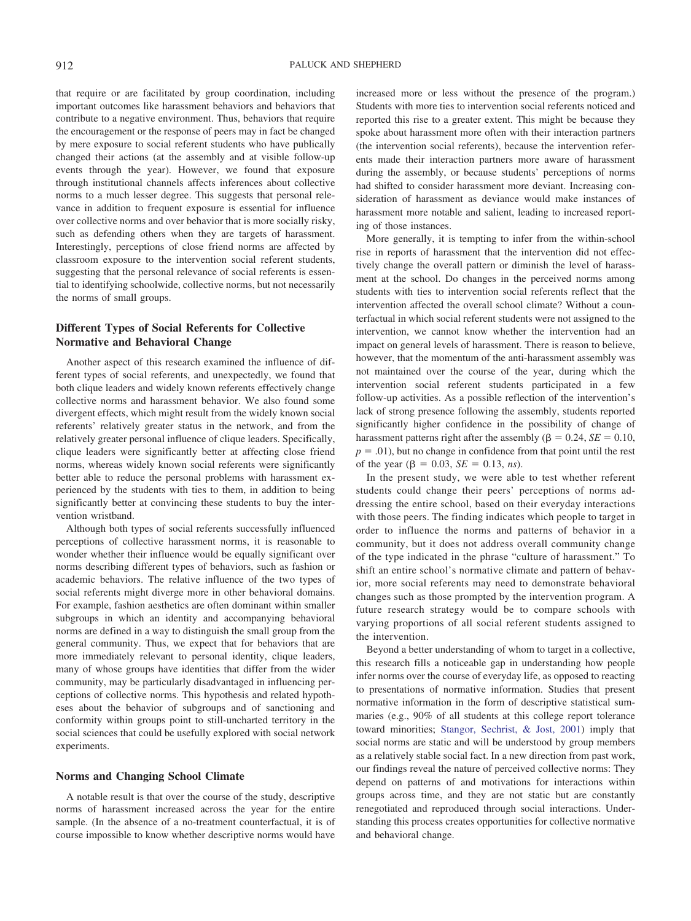that require or are facilitated by group coordination, including important outcomes like harassment behaviors and behaviors that contribute to a negative environment. Thus, behaviors that require the encouragement or the response of peers may in fact be changed by mere exposure to social referent students who have publically changed their actions (at the assembly and at visible follow-up events through the year). However, we found that exposure through institutional channels affects inferences about collective norms to a much lesser degree. This suggests that personal relevance in addition to frequent exposure is essential for influence over collective norms and over behavior that is more socially risky, such as defending others when they are targets of harassment. Interestingly, perceptions of close friend norms are affected by classroom exposure to the intervention social referent students, suggesting that the personal relevance of social referents is essential to identifying schoolwide, collective norms, but not necessarily the norms of small groups.

# **Different Types of Social Referents for Collective Normative and Behavioral Change**

Another aspect of this research examined the influence of different types of social referents, and unexpectedly, we found that both clique leaders and widely known referents effectively change collective norms and harassment behavior. We also found some divergent effects, which might result from the widely known social referents' relatively greater status in the network, and from the relatively greater personal influence of clique leaders. Specifically, clique leaders were significantly better at affecting close friend norms, whereas widely known social referents were significantly better able to reduce the personal problems with harassment experienced by the students with ties to them, in addition to being significantly better at convincing these students to buy the intervention wristband.

Although both types of social referents successfully influenced perceptions of collective harassment norms, it is reasonable to wonder whether their influence would be equally significant over norms describing different types of behaviors, such as fashion or academic behaviors. The relative influence of the two types of social referents might diverge more in other behavioral domains. For example, fashion aesthetics are often dominant within smaller subgroups in which an identity and accompanying behavioral norms are defined in a way to distinguish the small group from the general community. Thus, we expect that for behaviors that are more immediately relevant to personal identity, clique leaders, many of whose groups have identities that differ from the wider community, may be particularly disadvantaged in influencing perceptions of collective norms. This hypothesis and related hypotheses about the behavior of subgroups and of sanctioning and conformity within groups point to still-uncharted territory in the social sciences that could be usefully explored with social network experiments.

# **Norms and Changing School Climate**

A notable result is that over the course of the study, descriptive norms of harassment increased across the year for the entire sample. (In the absence of a no-treatment counterfactual, it is of course impossible to know whether descriptive norms would have increased more or less without the presence of the program.) Students with more ties to intervention social referents noticed and reported this rise to a greater extent. This might be because they spoke about harassment more often with their interaction partners (the intervention social referents), because the intervention referents made their interaction partners more aware of harassment during the assembly, or because students' perceptions of norms had shifted to consider harassment more deviant. Increasing consideration of harassment as deviance would make instances of harassment more notable and salient, leading to increased reporting of those instances.

More generally, it is tempting to infer from the within-school rise in reports of harassment that the intervention did not effectively change the overall pattern or diminish the level of harassment at the school. Do changes in the perceived norms among students with ties to intervention social referents reflect that the intervention affected the overall school climate? Without a counterfactual in which social referent students were not assigned to the intervention, we cannot know whether the intervention had an impact on general levels of harassment. There is reason to believe, however, that the momentum of the anti-harassment assembly was not maintained over the course of the year, during which the intervention social referent students participated in a few follow-up activities. As a possible reflection of the intervention's lack of strong presence following the assembly, students reported significantly higher confidence in the possibility of change of harassment patterns right after the assembly ( $\beta = 0.24$ ,  $SE = 0.10$ ,  $p = .01$ ), but no change in confidence from that point until the rest of the year ( $\beta = 0.03$ ,  $SE = 0.13$ , *ns*).

In the present study, we were able to test whether referent students could change their peers' perceptions of norms addressing the entire school, based on their everyday interactions with those peers. The finding indicates which people to target in order to influence the norms and patterns of behavior in a community, but it does not address overall community change of the type indicated in the phrase "culture of harassment." To shift an entire school's normative climate and pattern of behavior, more social referents may need to demonstrate behavioral changes such as those prompted by the intervention program. A future research strategy would be to compare schools with varying proportions of all social referent students assigned to the intervention.

Beyond a better understanding of whom to target in a collective, this research fills a noticeable gap in understanding how people infer norms over the course of everyday life, as opposed to reacting to presentations of normative information. Studies that present normative information in the form of descriptive statistical summaries (e.g., 90% of all students at this college report tolerance toward minorities; Stangor, Sechrist, & Jost, 2001) imply that social norms are static and will be understood by group members as a relatively stable social fact. In a new direction from past work, our findings reveal the nature of perceived collective norms: They depend on patterns of and motivations for interactions within groups across time, and they are not static but are constantly renegotiated and reproduced through social interactions. Understanding this process creates opportunities for collective normative and behavioral change.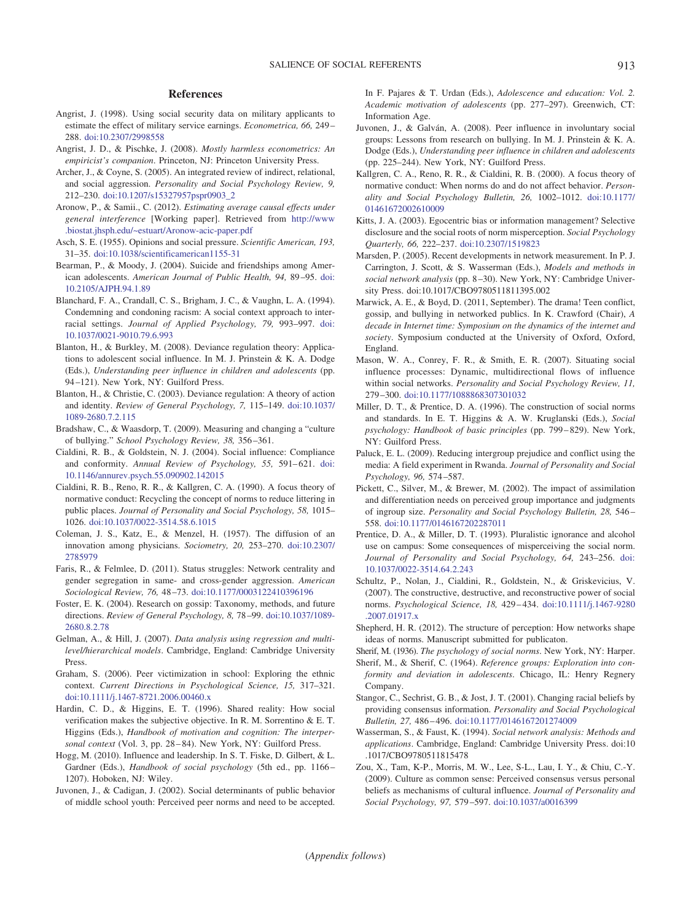#### **References**

- Angrist, J. (1998). Using social security data on military applicants to estimate the effect of military service earnings. *Econometrica, 66,* 249 – 288. doi:10.2307/2998558
- Angrist, J. D., & Pischke, J. (2008). *Mostly harmless econometrics: An empiricist's companion*. Princeton, NJ: Princeton University Press.
- Archer, J., & Coyne, S. (2005). An integrated review of indirect, relational, and social aggression. *Personality and Social Psychology Review, 9,* 212–230. doi:10.1207/s15327957pspr0903\_2
- Aronow, P., & Samii., C. (2012). *Estimating average causal effects under general interference* [Working paper]. Retrieved from http://www .biostat.jhsph.edu/~estuart/Aronow-acic-paper.pdf
- Asch, S. E. (1955). Opinions and social pressure. *Scientific American, 193,* 31–35. doi:10.1038/scientificamerican1155-31
- Bearman, P., & Moody, J. (2004). Suicide and friendships among American adolescents. *American Journal of Public Health, 94,* 89 –95. doi: 10.2105/AJPH.94.1.89
- Blanchard, F. A., Crandall, C. S., Brigham, J. C., & Vaughn, L. A. (1994). Condemning and condoning racism: A social context approach to interracial settings. *Journal of Applied Psychology, 79,* 993–997. doi: 10.1037/0021-9010.79.6.993
- Blanton, H., & Burkley, M. (2008). Deviance regulation theory: Applications to adolescent social influence. In M. J. Prinstein & K. A. Dodge (Eds.), *Understanding peer influence in children and adolescents* (pp. 94-121). New York, NY: Guilford Press.
- Blanton, H., & Christie, C. (2003). Deviance regulation: A theory of action and identity. *Review of General Psychology, 7,* 115–149. doi:10.1037/ 1089-2680.7.2.115
- Bradshaw, C., & Waasdorp, T. (2009). Measuring and changing a "culture of bullying." *School Psychology Review, 38,* 356 –361.
- Cialdini, R. B., & Goldstein, N. J. (2004). Social influence: Compliance and conformity. *Annual Review of Psychology, 55, 591-621*. doi: 10.1146/annurev.psych.55.090902.142015
- Cialdini, R. B., Reno, R. R., & Kallgren, C. A. (1990). A focus theory of normative conduct: Recycling the concept of norms to reduce littering in public places. *Journal of Personality and Social Psychology, 58,* 1015– 1026. doi:10.1037/0022-3514.58.6.1015
- Coleman, J. S., Katz, E., & Menzel, H. (1957). The diffusion of an innovation among physicians. *Sociometry, 20,* 253–270. doi:10.2307/ 2785979
- Faris, R., & Felmlee, D. (2011). Status struggles: Network centrality and gender segregation in same- and cross-gender aggression. *American Sociological Review, 76,* 48 –73. doi:10.1177/0003122410396196
- Foster, E. K. (2004). Research on gossip: Taxonomy, methods, and future directions. *Review of General Psychology, 8,* 78 –99. doi:10.1037/1089- 2680.8.2.78
- Gelman, A., & Hill, J. (2007). *Data analysis using regression and multilevel/hierarchical models*. Cambridge, England: Cambridge University Press.
- Graham, S. (2006). Peer victimization in school: Exploring the ethnic context. *Current Directions in Psychological Science, 15,* 317–321. doi:10.1111/j.1467-8721.2006.00460.x
- Hardin, C. D., & Higgins, E. T. (1996). Shared reality: How social verification makes the subjective objective. In R. M. Sorrentino & E. T. Higgins (Eds.), *Handbook of motivation and cognition: The interpersonal context* (Vol. 3, pp. 28 – 84). New York, NY: Guilford Press.
- Hogg, M. (2010). Influence and leadership. In S. T. Fiske, D. Gilbert, & L. Gardner (Eds.), *Handbook of social psychology* (5th ed., pp. 1166 – 1207). Hoboken, NJ: Wiley.
- Juvonen, J., & Cadigan, J. (2002). Social determinants of public behavior of middle school youth: Perceived peer norms and need to be accepted.

In F. Pajares & T. Urdan (Eds.), *Adolescence and education: Vol. 2. Academic motivation of adolescents* (pp. 277–297). Greenwich, CT: Information Age.

- Juvonen, J., & Galván, A. (2008). Peer influence in involuntary social groups: Lessons from research on bullying. In M. J. Prinstein & K. A. Dodge (Eds.), *Understanding peer influence in children and adolescents* (pp. 225–244). New York, NY: Guilford Press.
- Kallgren, C. A., Reno, R. R., & Cialdini, R. B. (2000). A focus theory of normative conduct: When norms do and do not affect behavior. *Personality and Social Psychology Bulletin, 26,* 1002–1012. doi:10.1177/ 01461672002610009
- Kitts, J. A. (2003). Egocentric bias or information management? Selective disclosure and the social roots of norm misperception. *Social Psychology Quarterly, 66,* 222–237. doi:10.2307/1519823
- Marsden, P. (2005). Recent developments in network measurement. In P. J. Carrington, J. Scott, & S. Wasserman (Eds.), *Models and methods in social network analysis* (pp. 8 –30). New York, NY: Cambridge University Press. doi:10.1017/CBO9780511811395.002
- Marwick, A. E., & Boyd, D. (2011, September). The drama! Teen conflict, gossip, and bullying in networked publics. In K. Crawford (Chair), *A decade in Internet time: Symposium on the dynamics of the internet and society*. Symposium conducted at the University of Oxford, Oxford, England.
- Mason, W. A., Conrey, F. R., & Smith, E. R. (2007). Situating social influence processes: Dynamic, multidirectional flows of influence within social networks. *Personality and Social Psychology Review, 11,* 279 –300. doi:10.1177/1088868307301032
- Miller, D. T., & Prentice, D. A. (1996). The construction of social norms and standards. In E. T. Higgins & A. W. Kruglanski (Eds.), *Social psychology: Handbook of basic principles* (pp. 799 – 829). New York, NY: Guilford Press.
- Paluck, E. L. (2009). Reducing intergroup prejudice and conflict using the media: A field experiment in Rwanda. *Journal of Personality and Social Psychology, 96,* 574 –587.
- Pickett, C., Silver, M., & Brewer, M. (2002). The impact of assimilation and differentiation needs on perceived group importance and judgments of ingroup size. *Personality and Social Psychology Bulletin, 28,* 546 – 558. doi:10.1177/0146167202287011
- Prentice, D. A., & Miller, D. T. (1993). Pluralistic ignorance and alcohol use on campus: Some consequences of misperceiving the social norm. *Journal of Personality and Social Psychology, 64,* 243–256. doi: 10.1037/0022-3514.64.2.243
- Schultz, P., Nolan, J., Cialdini, R., Goldstein, N., & Griskevicius, V. (2007). The constructive, destructive, and reconstructive power of social norms. *Psychological Science, 18,* 429 – 434. doi:10.1111/j.1467-9280 .2007.01917.x
- Shepherd, H. R. (2012). The structure of perception: How networks shape ideas of norms. Manuscript submitted for publicaton.

Sherif, M. (1936). *The psychology of social norms*. New York, NY: Harper.

- Sherif, M., & Sherif, C. (1964). *Reference groups: Exploration into conformity and deviation in adolescents*. Chicago, IL: Henry Regnery Company.
- Stangor, C., Sechrist, G. B., & Jost, J. T. (2001). Changing racial beliefs by providing consensus information. *Personality and Social Psychological Bulletin, 27,* 486 – 496. doi:10.1177/0146167201274009
- Wasserman, S., & Faust, K. (1994). *Social network analysis: Methods and applications*. Cambridge, England: Cambridge University Press. doi:10 .1017/CBO9780511815478
- Zou, X., Tam, K-P., Morris, M. W., Lee, S-L., Lau, I. Y., & Chiu, C.-Y. (2009). Culture as common sense: Perceived consensus versus personal beliefs as mechanisms of cultural influence. *Journal of Personality and Social Psychology, 97,* 579 –597. doi:10.1037/a0016399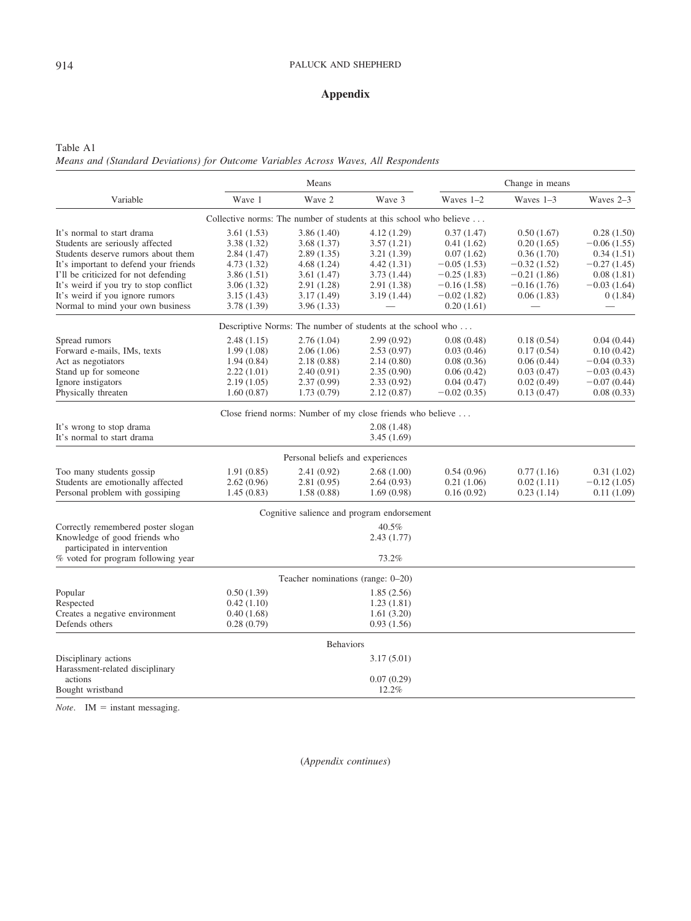# **Appendix**

Table A1 *Means and (Standard Deviations) for Outcome Variables Across Waves, All Respondents*

| Variable<br>Wave 3<br>Waves $1-2$<br>Waves 1-3<br>Wave 1<br>Wave 2<br>Collective norms: The number of students at this school who believe<br>3.86 (1.40)<br>It's normal to start drama<br>3.61(1.53)<br>4.12(1.29)<br>0.37(1.47)<br>0.50(1.67)<br>Students are seriously affected<br>3.38(1.32)<br>3.68(1.37)<br>0.20(1.65)<br>3.57(1.21)<br>0.41(1.62)<br>Students deserve rumors about them<br>2.89(1.35)<br>0.07(1.62)<br>2.84(1.47)<br>3.21 (1.39)<br>0.36(1.70)<br>It's important to defend your friends<br>4.73(1.32)<br>4.68(1.24)<br>4.42(1.31)<br>$-0.05(1.53)$<br>$-0.32(1.52)$<br>I'll be criticized for not defending<br>3.86(1.51)<br>3.61(1.47)<br>3.73(1.44)<br>$-0.25(1.83)$<br>$-0.21(1.86)$<br>It's weird if you try to stop conflict<br>3.06(1.32)<br>2.91(1.28)<br>2.91 (1.38)<br>$-0.16(1.58)$<br>$-0.16(1.76)$<br>It's weird if you ignore rumors<br>3.15(1.43)<br>3.17(1.49)<br>3.19(1.44)<br>$-0.02(1.82)$<br>0.06(1.83)<br>Normal to mind your own business<br>0.20(1.61)<br>3.78 (1.39)<br>3.96(1.33)<br>Descriptive Norms: The number of students at the school who<br>2.99(0.92)<br>Spread rumors<br>2.48(1.15)<br>2.76(1.04)<br>0.08(0.48)<br>0.18(0.54)<br>Forward e-mails, IMs, texts<br>1.99(1.08)<br>2.06(1.06)<br>2.53(0.97)<br>0.03(0.46)<br>0.17(0.54)<br>Act as negotiators<br>1.94(0.84)<br>2.18 (0.88)<br>2.14(0.80)<br>0.08(0.36)<br>0.06(0.44)<br>Stand up for someone<br>2.22(1.01)<br>2.40(0.91)<br>2.35(0.90)<br>0.06(0.42)<br>0.03(0.47)<br>Ignore instigators<br>0.02(0.49)<br>2.19(1.05)<br>2.37(0.99)<br>2.33(0.92)<br>0.04(0.47)<br>Physically threaten<br>$-0.02(0.35)$<br>1.60(0.87)<br>1.73(0.79)<br>2.12(0.87)<br>0.13(0.47)<br>Close friend norms: Number of my close friends who believe<br>It's wrong to stop drama<br>2.08(1.48)<br>It's normal to start drama<br>3.45(1.69)<br>Personal beliefs and experiences<br>Too many students gossip<br>0.77(1.16)<br>1.91(0.85)<br>2.41 (0.92)<br>2.68 (1.00)<br>0.54(0.96)<br>Students are emotionally affected<br>2.62(0.96)<br>2.81(0.95)<br>2.64(0.93)<br>0.21(1.06)<br>0.02(1.11) |                                 |            | Means      |            |            | Change in means |               |
|------------------------------------------------------------------------------------------------------------------------------------------------------------------------------------------------------------------------------------------------------------------------------------------------------------------------------------------------------------------------------------------------------------------------------------------------------------------------------------------------------------------------------------------------------------------------------------------------------------------------------------------------------------------------------------------------------------------------------------------------------------------------------------------------------------------------------------------------------------------------------------------------------------------------------------------------------------------------------------------------------------------------------------------------------------------------------------------------------------------------------------------------------------------------------------------------------------------------------------------------------------------------------------------------------------------------------------------------------------------------------------------------------------------------------------------------------------------------------------------------------------------------------------------------------------------------------------------------------------------------------------------------------------------------------------------------------------------------------------------------------------------------------------------------------------------------------------------------------------------------------------------------------------------------------------------------------------------------------------------------------------------------------------------------------------------------------------------|---------------------------------|------------|------------|------------|------------|-----------------|---------------|
|                                                                                                                                                                                                                                                                                                                                                                                                                                                                                                                                                                                                                                                                                                                                                                                                                                                                                                                                                                                                                                                                                                                                                                                                                                                                                                                                                                                                                                                                                                                                                                                                                                                                                                                                                                                                                                                                                                                                                                                                                                                                                          |                                 |            |            |            |            |                 | Waves 2-3     |
|                                                                                                                                                                                                                                                                                                                                                                                                                                                                                                                                                                                                                                                                                                                                                                                                                                                                                                                                                                                                                                                                                                                                                                                                                                                                                                                                                                                                                                                                                                                                                                                                                                                                                                                                                                                                                                                                                                                                                                                                                                                                                          |                                 |            |            |            |            |                 |               |
|                                                                                                                                                                                                                                                                                                                                                                                                                                                                                                                                                                                                                                                                                                                                                                                                                                                                                                                                                                                                                                                                                                                                                                                                                                                                                                                                                                                                                                                                                                                                                                                                                                                                                                                                                                                                                                                                                                                                                                                                                                                                                          |                                 |            |            |            |            |                 | 0.28(1.50)    |
|                                                                                                                                                                                                                                                                                                                                                                                                                                                                                                                                                                                                                                                                                                                                                                                                                                                                                                                                                                                                                                                                                                                                                                                                                                                                                                                                                                                                                                                                                                                                                                                                                                                                                                                                                                                                                                                                                                                                                                                                                                                                                          |                                 |            |            |            |            |                 | $-0.06(1.55)$ |
|                                                                                                                                                                                                                                                                                                                                                                                                                                                                                                                                                                                                                                                                                                                                                                                                                                                                                                                                                                                                                                                                                                                                                                                                                                                                                                                                                                                                                                                                                                                                                                                                                                                                                                                                                                                                                                                                                                                                                                                                                                                                                          |                                 |            |            |            |            |                 | 0.34(1.51)    |
|                                                                                                                                                                                                                                                                                                                                                                                                                                                                                                                                                                                                                                                                                                                                                                                                                                                                                                                                                                                                                                                                                                                                                                                                                                                                                                                                                                                                                                                                                                                                                                                                                                                                                                                                                                                                                                                                                                                                                                                                                                                                                          |                                 |            |            |            |            |                 | $-0.27(1.45)$ |
|                                                                                                                                                                                                                                                                                                                                                                                                                                                                                                                                                                                                                                                                                                                                                                                                                                                                                                                                                                                                                                                                                                                                                                                                                                                                                                                                                                                                                                                                                                                                                                                                                                                                                                                                                                                                                                                                                                                                                                                                                                                                                          |                                 |            |            |            |            |                 | 0.08(1.81)    |
|                                                                                                                                                                                                                                                                                                                                                                                                                                                                                                                                                                                                                                                                                                                                                                                                                                                                                                                                                                                                                                                                                                                                                                                                                                                                                                                                                                                                                                                                                                                                                                                                                                                                                                                                                                                                                                                                                                                                                                                                                                                                                          |                                 |            |            |            |            |                 | $-0.03(1.64)$ |
|                                                                                                                                                                                                                                                                                                                                                                                                                                                                                                                                                                                                                                                                                                                                                                                                                                                                                                                                                                                                                                                                                                                                                                                                                                                                                                                                                                                                                                                                                                                                                                                                                                                                                                                                                                                                                                                                                                                                                                                                                                                                                          |                                 |            |            |            |            |                 | 0(1.84)       |
|                                                                                                                                                                                                                                                                                                                                                                                                                                                                                                                                                                                                                                                                                                                                                                                                                                                                                                                                                                                                                                                                                                                                                                                                                                                                                                                                                                                                                                                                                                                                                                                                                                                                                                                                                                                                                                                                                                                                                                                                                                                                                          |                                 |            |            |            |            |                 |               |
|                                                                                                                                                                                                                                                                                                                                                                                                                                                                                                                                                                                                                                                                                                                                                                                                                                                                                                                                                                                                                                                                                                                                                                                                                                                                                                                                                                                                                                                                                                                                                                                                                                                                                                                                                                                                                                                                                                                                                                                                                                                                                          |                                 |            |            |            |            |                 |               |
|                                                                                                                                                                                                                                                                                                                                                                                                                                                                                                                                                                                                                                                                                                                                                                                                                                                                                                                                                                                                                                                                                                                                                                                                                                                                                                                                                                                                                                                                                                                                                                                                                                                                                                                                                                                                                                                                                                                                                                                                                                                                                          |                                 |            |            |            |            |                 | 0.04(0.44)    |
|                                                                                                                                                                                                                                                                                                                                                                                                                                                                                                                                                                                                                                                                                                                                                                                                                                                                                                                                                                                                                                                                                                                                                                                                                                                                                                                                                                                                                                                                                                                                                                                                                                                                                                                                                                                                                                                                                                                                                                                                                                                                                          |                                 |            |            |            |            |                 | 0.10(0.42)    |
|                                                                                                                                                                                                                                                                                                                                                                                                                                                                                                                                                                                                                                                                                                                                                                                                                                                                                                                                                                                                                                                                                                                                                                                                                                                                                                                                                                                                                                                                                                                                                                                                                                                                                                                                                                                                                                                                                                                                                                                                                                                                                          |                                 |            |            |            |            |                 | $-0.04(0.33)$ |
|                                                                                                                                                                                                                                                                                                                                                                                                                                                                                                                                                                                                                                                                                                                                                                                                                                                                                                                                                                                                                                                                                                                                                                                                                                                                                                                                                                                                                                                                                                                                                                                                                                                                                                                                                                                                                                                                                                                                                                                                                                                                                          |                                 |            |            |            |            |                 | $-0.03(0.43)$ |
|                                                                                                                                                                                                                                                                                                                                                                                                                                                                                                                                                                                                                                                                                                                                                                                                                                                                                                                                                                                                                                                                                                                                                                                                                                                                                                                                                                                                                                                                                                                                                                                                                                                                                                                                                                                                                                                                                                                                                                                                                                                                                          |                                 |            |            |            |            |                 | $-0.07(0.44)$ |
|                                                                                                                                                                                                                                                                                                                                                                                                                                                                                                                                                                                                                                                                                                                                                                                                                                                                                                                                                                                                                                                                                                                                                                                                                                                                                                                                                                                                                                                                                                                                                                                                                                                                                                                                                                                                                                                                                                                                                                                                                                                                                          |                                 |            |            |            |            |                 | 0.08(0.33)    |
|                                                                                                                                                                                                                                                                                                                                                                                                                                                                                                                                                                                                                                                                                                                                                                                                                                                                                                                                                                                                                                                                                                                                                                                                                                                                                                                                                                                                                                                                                                                                                                                                                                                                                                                                                                                                                                                                                                                                                                                                                                                                                          |                                 |            |            |            |            |                 |               |
|                                                                                                                                                                                                                                                                                                                                                                                                                                                                                                                                                                                                                                                                                                                                                                                                                                                                                                                                                                                                                                                                                                                                                                                                                                                                                                                                                                                                                                                                                                                                                                                                                                                                                                                                                                                                                                                                                                                                                                                                                                                                                          |                                 |            |            |            |            |                 |               |
|                                                                                                                                                                                                                                                                                                                                                                                                                                                                                                                                                                                                                                                                                                                                                                                                                                                                                                                                                                                                                                                                                                                                                                                                                                                                                                                                                                                                                                                                                                                                                                                                                                                                                                                                                                                                                                                                                                                                                                                                                                                                                          |                                 |            |            |            |            |                 |               |
|                                                                                                                                                                                                                                                                                                                                                                                                                                                                                                                                                                                                                                                                                                                                                                                                                                                                                                                                                                                                                                                                                                                                                                                                                                                                                                                                                                                                                                                                                                                                                                                                                                                                                                                                                                                                                                                                                                                                                                                                                                                                                          |                                 |            |            |            |            |                 |               |
|                                                                                                                                                                                                                                                                                                                                                                                                                                                                                                                                                                                                                                                                                                                                                                                                                                                                                                                                                                                                                                                                                                                                                                                                                                                                                                                                                                                                                                                                                                                                                                                                                                                                                                                                                                                                                                                                                                                                                                                                                                                                                          |                                 |            |            |            |            |                 | 0.31(1.02)    |
|                                                                                                                                                                                                                                                                                                                                                                                                                                                                                                                                                                                                                                                                                                                                                                                                                                                                                                                                                                                                                                                                                                                                                                                                                                                                                                                                                                                                                                                                                                                                                                                                                                                                                                                                                                                                                                                                                                                                                                                                                                                                                          |                                 |            |            |            |            |                 | $-0.12(1.05)$ |
|                                                                                                                                                                                                                                                                                                                                                                                                                                                                                                                                                                                                                                                                                                                                                                                                                                                                                                                                                                                                                                                                                                                                                                                                                                                                                                                                                                                                                                                                                                                                                                                                                                                                                                                                                                                                                                                                                                                                                                                                                                                                                          | Personal problem with gossiping | 1.45(0.83) | 1.58(0.88) | 1.69(0.98) | 0.16(0.92) | 0.23(1.14)      | 0.11(1.09)    |
| Cognitive salience and program endorsement                                                                                                                                                                                                                                                                                                                                                                                                                                                                                                                                                                                                                                                                                                                                                                                                                                                                                                                                                                                                                                                                                                                                                                                                                                                                                                                                                                                                                                                                                                                                                                                                                                                                                                                                                                                                                                                                                                                                                                                                                                               |                                 |            |            |            |            |                 |               |
| Correctly remembered poster slogan<br>40.5%                                                                                                                                                                                                                                                                                                                                                                                                                                                                                                                                                                                                                                                                                                                                                                                                                                                                                                                                                                                                                                                                                                                                                                                                                                                                                                                                                                                                                                                                                                                                                                                                                                                                                                                                                                                                                                                                                                                                                                                                                                              |                                 |            |            |            |            |                 |               |
| Knowledge of good friends who<br>2.43(1.77)                                                                                                                                                                                                                                                                                                                                                                                                                                                                                                                                                                                                                                                                                                                                                                                                                                                                                                                                                                                                                                                                                                                                                                                                                                                                                                                                                                                                                                                                                                                                                                                                                                                                                                                                                                                                                                                                                                                                                                                                                                              |                                 |            |            |            |            |                 |               |
| participated in intervention<br>% voted for program following year<br>73.2%                                                                                                                                                                                                                                                                                                                                                                                                                                                                                                                                                                                                                                                                                                                                                                                                                                                                                                                                                                                                                                                                                                                                                                                                                                                                                                                                                                                                                                                                                                                                                                                                                                                                                                                                                                                                                                                                                                                                                                                                              |                                 |            |            |            |            |                 |               |
| Teacher nominations (range: 0–20)                                                                                                                                                                                                                                                                                                                                                                                                                                                                                                                                                                                                                                                                                                                                                                                                                                                                                                                                                                                                                                                                                                                                                                                                                                                                                                                                                                                                                                                                                                                                                                                                                                                                                                                                                                                                                                                                                                                                                                                                                                                        |                                 |            |            |            |            |                 |               |
| Popular<br>1.85(2.56)<br>0.50(1.39)                                                                                                                                                                                                                                                                                                                                                                                                                                                                                                                                                                                                                                                                                                                                                                                                                                                                                                                                                                                                                                                                                                                                                                                                                                                                                                                                                                                                                                                                                                                                                                                                                                                                                                                                                                                                                                                                                                                                                                                                                                                      |                                 |            |            |            |            |                 |               |
| Respected<br>1.23(1.81)<br>0.42(1.10)                                                                                                                                                                                                                                                                                                                                                                                                                                                                                                                                                                                                                                                                                                                                                                                                                                                                                                                                                                                                                                                                                                                                                                                                                                                                                                                                                                                                                                                                                                                                                                                                                                                                                                                                                                                                                                                                                                                                                                                                                                                    |                                 |            |            |            |            |                 |               |
| Creates a negative environment<br>0.40(1.68)<br>1.61(3.20)                                                                                                                                                                                                                                                                                                                                                                                                                                                                                                                                                                                                                                                                                                                                                                                                                                                                                                                                                                                                                                                                                                                                                                                                                                                                                                                                                                                                                                                                                                                                                                                                                                                                                                                                                                                                                                                                                                                                                                                                                               |                                 |            |            |            |            |                 |               |
| Defends others<br>0.28(0.79)<br>0.93(1.56)                                                                                                                                                                                                                                                                                                                                                                                                                                                                                                                                                                                                                                                                                                                                                                                                                                                                                                                                                                                                                                                                                                                                                                                                                                                                                                                                                                                                                                                                                                                                                                                                                                                                                                                                                                                                                                                                                                                                                                                                                                               |                                 |            |            |            |            |                 |               |
| <b>Behaviors</b>                                                                                                                                                                                                                                                                                                                                                                                                                                                                                                                                                                                                                                                                                                                                                                                                                                                                                                                                                                                                                                                                                                                                                                                                                                                                                                                                                                                                                                                                                                                                                                                                                                                                                                                                                                                                                                                                                                                                                                                                                                                                         |                                 |            |            |            |            |                 |               |
| Disciplinary actions<br>3.17(5.01)<br>Harassment-related disciplinary                                                                                                                                                                                                                                                                                                                                                                                                                                                                                                                                                                                                                                                                                                                                                                                                                                                                                                                                                                                                                                                                                                                                                                                                                                                                                                                                                                                                                                                                                                                                                                                                                                                                                                                                                                                                                                                                                                                                                                                                                    |                                 |            |            |            |            |                 |               |
| actions<br>0.07(0.29)                                                                                                                                                                                                                                                                                                                                                                                                                                                                                                                                                                                                                                                                                                                                                                                                                                                                                                                                                                                                                                                                                                                                                                                                                                                                                                                                                                                                                                                                                                                                                                                                                                                                                                                                                                                                                                                                                                                                                                                                                                                                    |                                 |            |            |            |            |                 |               |
| 12.2%<br>Bought wristband                                                                                                                                                                                                                                                                                                                                                                                                                                                                                                                                                                                                                                                                                                                                                                                                                                                                                                                                                                                                                                                                                                                                                                                                                                                                                                                                                                                                                                                                                                                                                                                                                                                                                                                                                                                                                                                                                                                                                                                                                                                                |                                 |            |            |            |            |                 |               |

*Note.* IM  $=$  instant messaging.

(*Appendix continues*)